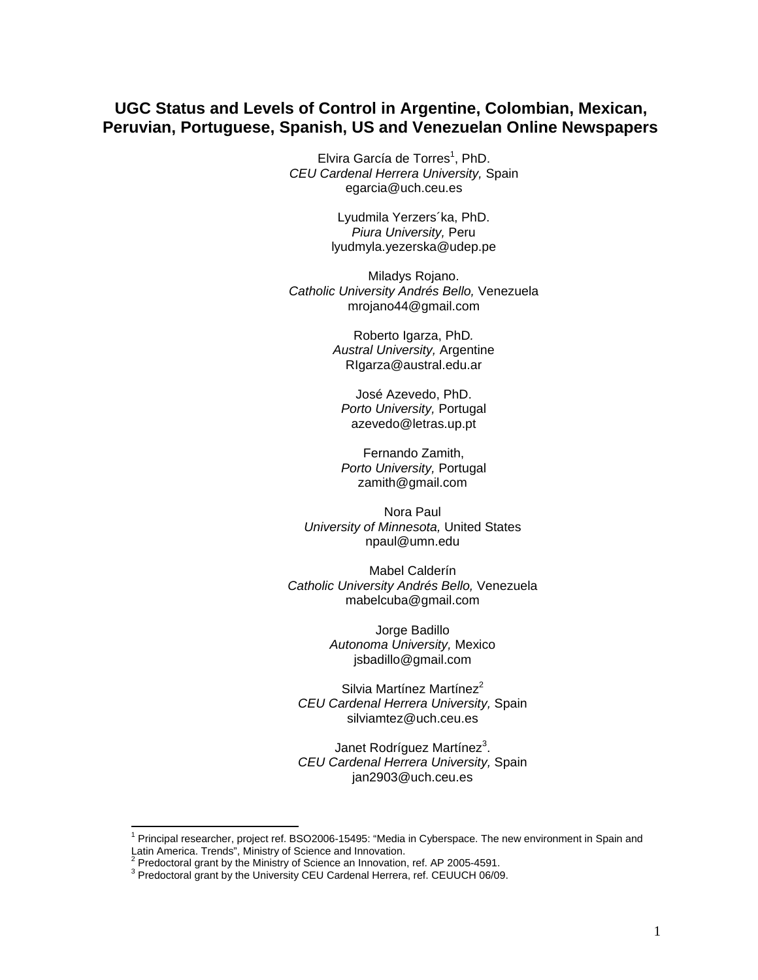# **UGC Status and Levels of Control in Argentine, Colombian, Mexican, Peruvian, Portuguese, Spanish, US and Venezuelan Online Newspapers**

Elvira García de Torres<sup>1</sup>, PhD. *CEU Cardenal Herrera University,* Spain egarcia@uch.ceu.es

> Lyudmila Yerzers´ka, PhD. *Piura University,* Peru lyudmyla.yezerska@udep.pe

Miladys Rojano. *Catholic University Andrés Bello,* Venezuela mrojano44@gmail.com

> Roberto Igarza, PhD*. Austral University,* Argentine RIgarza@austral.edu.ar

José Azevedo, PhD. *Porto University,* Portugal azevedo@letras.up.pt

Fernando Zamith, *Porto University,* Portugal zamith@gmail.com

Nora Paul *University of Minnesota,* United States npaul@umn.edu

Mabel Calderín *Catholic University Andrés Bello,* Venezuela mabelcuba@gmail.com

> Jorge Badillo *Autonoma University,* Mexico jsbadillo@gmail.com

Silvia Martínez Martínez<sup>2</sup> *CEU Cardenal Herrera University,* Spain silviamtez@uch.ceu.es

Janet Rodríguez Martínez<sup>3</sup>. *CEU Cardenal Herrera University,* Spain jan2903@uch.ceu.es

<sup>&</sup>lt;sup>1</sup> Principal researcher, project ref. BSO2006-15495: "Media in Cyberspace. The new environment in Spain and Latin America. Trends", Ministry of Science and Innovation.<br><sup>2</sup> Predoctoral grant by the Ministry of Science an Innovation, ref. AP 2005-4591.

<sup>&</sup>lt;sup>3</sup> Predoctoral grant by the University CEU Cardenal Herrera, ref. CEUUCH 06/09.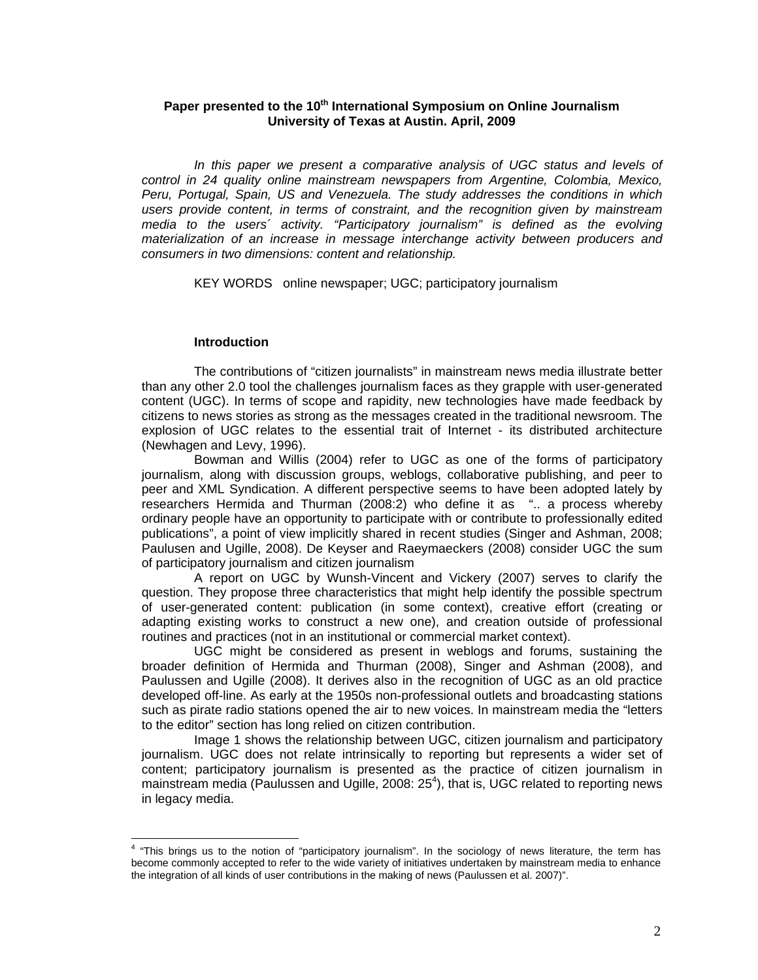# **Paper presented to the 10th International Symposium on Online Journalism University of Texas at Austin. April, 2009**

*In this paper we present a comparative analysis of UGC status and levels of control in 24 quality online mainstream newspapers from Argentine, Colombia, Mexico, Peru, Portugal, Spain, US and Venezuela. The study addresses the conditions in which users provide content, in terms of constraint, and the recognition given by mainstream media to the users´ activity. "Participatory journalism" is defined as the evolving materialization of an increase in message interchange activity between producers and consumers in two dimensions: content and relationship.* 

KEY WORDS online newspaper; UGC; participatory journalism

#### **Introduction**

The contributions of "citizen journalists" in mainstream news media illustrate better than any other 2.0 tool the challenges journalism faces as they grapple with user-generated content (UGC). In terms of scope and rapidity, new technologies have made feedback by citizens to news stories as strong as the messages created in the traditional newsroom. The explosion of UGC relates to the essential trait of Internet - its distributed architecture (Newhagen and Levy, 1996).

Bowman and Willis (2004) refer to UGC as one of the forms of participatory journalism, along with discussion groups, weblogs, collaborative publishing, and peer to peer and XML Syndication. A different perspective seems to have been adopted lately by researchers Hermida and Thurman (2008:2) who define it as ".. a process whereby ordinary people have an opportunity to participate with or contribute to professionally edited publications", a point of view implicitly shared in recent studies (Singer and Ashman, 2008; Paulusen and Ugille, 2008). De Keyser and Raeymaeckers (2008) consider UGC the sum of participatory journalism and citizen journalism

A report on UGC by Wunsh-Vincent and Vickery (2007) serves to clarify the question. They propose three characteristics that might help identify the possible spectrum of user-generated content: publication (in some context), creative effort (creating or adapting existing works to construct a new one), and creation outside of professional routines and practices (not in an institutional or commercial market context).

UGC might be considered as present in weblogs and forums, sustaining the broader definition of Hermida and Thurman (2008), Singer and Ashman (2008), and Paulussen and Ugille (2008). It derives also in the recognition of UGC as an old practice developed off-line. As early at the 1950s non-professional outlets and broadcasting stations such as pirate radio stations opened the air to new voices. In mainstream media the "letters to the editor" section has long relied on citizen contribution.

Image 1 shows the relationship between UGC, citizen journalism and participatory journalism. UGC does not relate intrinsically to reporting but represents a wider set of content; participatory journalism is presented as the practice of citizen journalism in mainstream media (Paulussen and Ugille, 2008:  $25<sup>4</sup>$ ), that is, UGC related to reporting news in legacy media.

 4 "This brings us to the notion of "participatory journalism". In the sociology of news literature, the term has become commonly accepted to refer to the wide variety of initiatives undertaken by mainstream media to enhance the integration of all kinds of user contributions in the making of news (Paulussen et al. 2007)".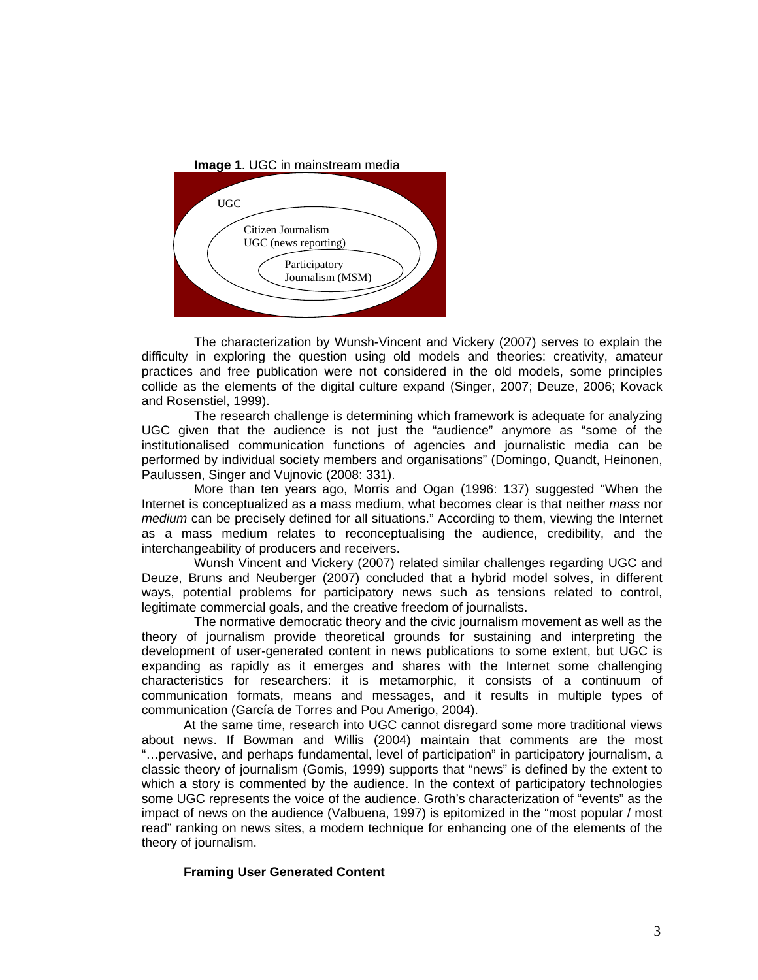

The characterization by Wunsh-Vincent and Vickery (2007) serves to explain the difficulty in exploring the question using old models and theories: creativity, amateur practices and free publication were not considered in the old models, some principles collide as the elements of the digital culture expand (Singer, 2007; Deuze, 2006; Kovack and Rosenstiel, 1999).

The research challenge is determining which framework is adequate for analyzing UGC given that the audience is not just the "audience" anymore as "some of the institutionalised communication functions of agencies and journalistic media can be performed by individual society members and organisations" (Domingo, Quandt, Heinonen, Paulussen, Singer and Vujnovic (2008: 331).

More than ten years ago, Morris and Ogan (1996: 137) suggested "When the Internet is conceptualized as a mass medium, what becomes clear is that neither *mass* nor *medium* can be precisely defined for all situations." According to them, viewing the Internet as a mass medium relates to reconceptualising the audience, credibility, and the interchangeability of producers and receivers.

Wunsh Vincent and Vickery (2007) related similar challenges regarding UGC and Deuze, Bruns and Neuberger (2007) concluded that a hybrid model solves, in different ways, potential problems for participatory news such as tensions related to control, legitimate commercial goals, and the creative freedom of journalists.

The normative democratic theory and the civic journalism movement as well as the theory of journalism provide theoretical grounds for sustaining and interpreting the development of user-generated content in news publications to some extent, but UGC is expanding as rapidly as it emerges and shares with the Internet some challenging characteristics for researchers: it is metamorphic, it consists of a continuum of communication formats, means and messages, and it results in multiple types of communication (García de Torres and Pou Amerigo, 2004).

At the same time, research into UGC cannot disregard some more traditional views about news. If Bowman and Willis (2004) maintain that comments are the most "…pervasive, and perhaps fundamental, level of participation" in participatory journalism, a classic theory of journalism (Gomis, 1999) supports that "news" is defined by the extent to which a story is commented by the audience. In the context of participatory technologies some UGC represents the voice of the audience. Groth's characterization of "events" as the impact of news on the audience (Valbuena, 1997) is epitomized in the "most popular / most read" ranking on news sites, a modern technique for enhancing one of the elements of the theory of journalism.

# **Framing User Generated Content**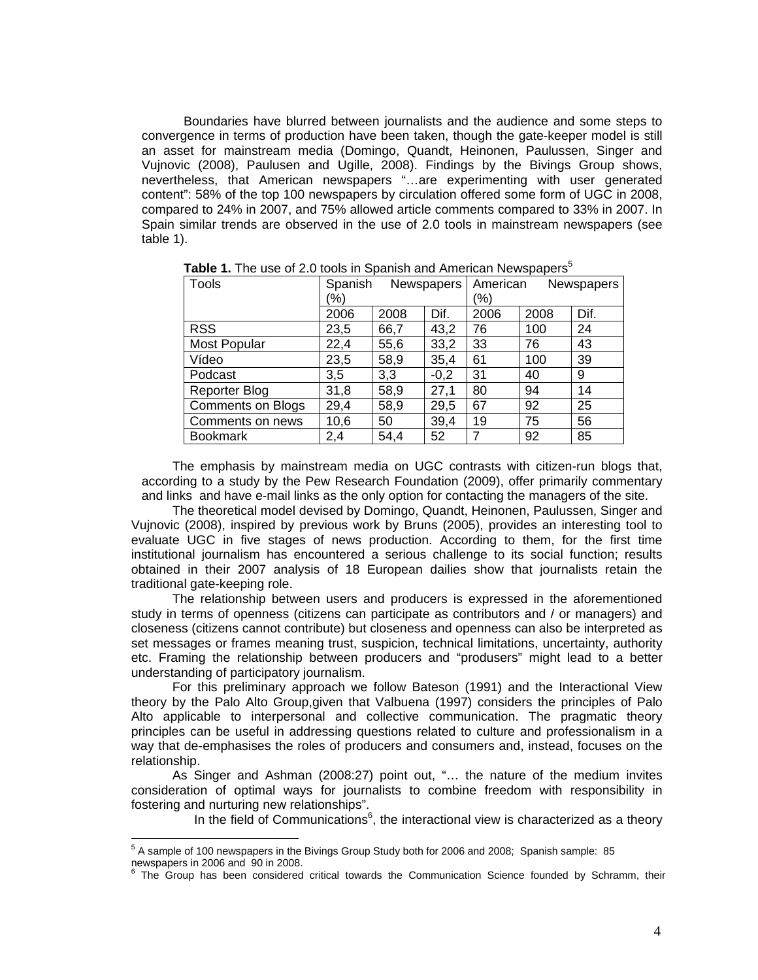Boundaries have blurred between journalists and the audience and some steps to convergence in terms of production have been taken, though the gate-keeper model is still an asset for mainstream media (Domingo, Quandt, Heinonen, Paulussen, Singer and Vujnovic (2008), Paulusen and Ugille, 2008). Findings by the Bivings Group shows, nevertheless, that American newspapers "…are experimenting with user generated content": 58% of the top 100 newspapers by circulation offered some form of UGC in 2008, compared to 24% in 2007, and 75% allowed article comments compared to 33% in 2007. In Spain similar trends are observed in the use of 2.0 tools in mainstream newspapers (see table 1).

| <b>Tools</b>             | Spanish | <b>Newspapers</b> |        | American      |      | <b>Newspapers</b> |
|--------------------------|---------|-------------------|--------|---------------|------|-------------------|
|                          | (%)     |                   |        | $\frac{1}{2}$ |      |                   |
|                          | 2006    | 2008              | Dif.   | 2006          | 2008 | Dif.              |
| <b>RSS</b>               | 23,5    | 66,7              | 43,2   | 76            | 100  | 24                |
| <b>Most Popular</b>      | 22,4    | 55,6              | 33,2   | 33            | 76   | 43                |
| Vídeo                    | 23,5    | 58,9              | 35,4   | 61            | 100  | 39                |
| Podcast                  | 3,5     | 3,3               | $-0.2$ | 31            | 40   | 9                 |
| Reporter Blog            | 31,8    | 58,9              | 27,1   | 80            | 94   | 14                |
| <b>Comments on Blogs</b> | 29,4    | 58,9              | 29,5   | 67            | 92   | 25                |
| Comments on news         | 10,6    | 50                | 39,4   | 19            | 75   | 56                |
| <b>Bookmark</b>          | 2,4     | 54,4              | 52     |               | 92   | 85                |

**Table 1.** The use of 2.0 tools in Spanish and American Newspapers<sup>5</sup>

The emphasis by mainstream media on UGC contrasts with citizen-run blogs that, according to a study by the Pew Research Foundation (2009), offer primarily commentary and links and have e-mail links as the only option for contacting the managers of the site.

The theoretical model devised by Domingo, Quandt, Heinonen, Paulussen, Singer and Vujnovic (2008), inspired by previous work by Bruns (2005), provides an interesting tool to evaluate UGC in five stages of news production. According to them, for the first time institutional journalism has encountered a serious challenge to its social function; results obtained in their 2007 analysis of 18 European dailies show that journalists retain the traditional gate-keeping role.

The relationship between users and producers is expressed in the aforementioned study in terms of openness (citizens can participate as contributors and / or managers) and closeness (citizens cannot contribute) but closeness and openness can also be interpreted as set messages or frames meaning trust, suspicion, technical limitations, uncertainty, authority etc. Framing the relationship between producers and "produsers" might lead to a better understanding of participatory journalism.

For this preliminary approach we follow Bateson (1991) and the Interactional View theory by the Palo Alto Group,given that Valbuena (1997) considers the principles of Palo Alto applicable to interpersonal and collective communication. The pragmatic theory principles can be useful in addressing questions related to culture and professionalism in a way that de-emphasises the roles of producers and consumers and, instead, focuses on the relationship.

As Singer and Ashman (2008:27) point out, "… the nature of the medium invites consideration of optimal ways for journalists to combine freedom with responsibility in fostering and nurturing new relationships".

In the field of Communications $6$ , the interactional view is characterized as a theory

 5 A sample of 100 newspapers in the Bivings Group Study both for 2006 and 2008; Spanish sample: 85 newspapers in 2006 and 90 in 2008.<br><sup>6</sup> The Croup has been considered

The Group has been considered critical towards the Communication Science founded by Schramm, their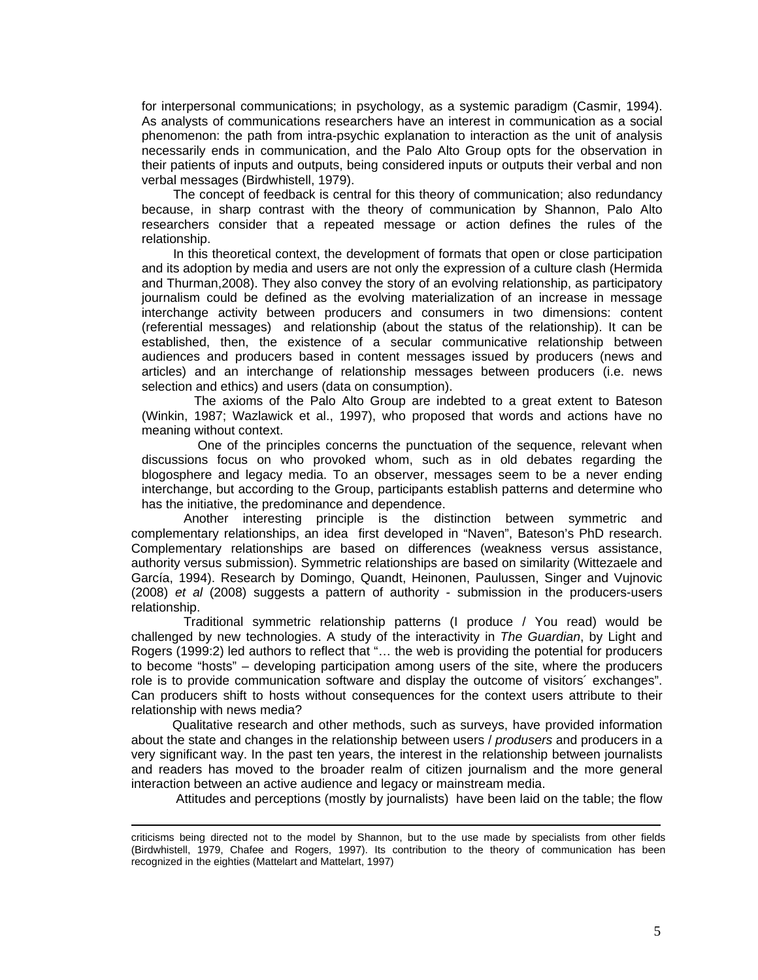for interpersonal communications; in psychology, as a systemic paradigm (Casmir, 1994). As analysts of communications researchers have an interest in communication as a social phenomenon: the path from intra-psychic explanation to interaction as the unit of analysis necessarily ends in communication, and the Palo Alto Group opts for the observation in their patients of inputs and outputs, being considered inputs or outputs their verbal and non verbal messages (Birdwhistell, 1979).

The concept of feedback is central for this theory of communication; also redundancy because, in sharp contrast with the theory of communication by Shannon, Palo Alto researchers consider that a repeated message or action defines the rules of the relationship.

In this theoretical context, the development of formats that open or close participation and its adoption by media and users are not only the expression of a culture clash (Hermida and Thurman,2008). They also convey the story of an evolving relationship, as participatory journalism could be defined as the evolving materialization of an increase in message interchange activity between producers and consumers in two dimensions: content (referential messages) and relationship (about the status of the relationship). It can be established, then, the existence of a secular communicative relationship between audiences and producers based in content messages issued by producers (news and articles) and an interchange of relationship messages between producers (i.e. news selection and ethics) and users (data on consumption).

The axioms of the Palo Alto Group are indebted to a great extent to Bateson (Winkin, 1987; Wazlawick et al., 1997), who proposed that words and actions have no meaning without context.

 One of the principles concerns the punctuation of the sequence, relevant when discussions focus on who provoked whom, such as in old debates regarding the blogosphere and legacy media. To an observer, messages seem to be a never ending interchange, but according to the Group, participants establish patterns and determine who has the initiative, the predominance and dependence.

Another interesting principle is the distinction between symmetric and complementary relationships, an idea first developed in "Naven", Bateson's PhD research. Complementary relationships are based on differences (weakness versus assistance, authority versus submission). Symmetric relationships are based on similarity (Wittezaele and García, 1994). Research by Domingo, Quandt, Heinonen, Paulussen, Singer and Vujnovic (2008) *et al* (2008) suggests a pattern of authority - submission in the producers-users relationship.

Traditional symmetric relationship patterns (I produce / You read) would be challenged by new technologies. A study of the interactivity in *The Guardian*, by Light and Rogers (1999:2) led authors to reflect that "… the web is providing the potential for producers to become "hosts" – developing participation among users of the site, where the producers role is to provide communication software and display the outcome of visitors´ exchanges". Can producers shift to hosts without consequences for the context users attribute to their relationship with news media?

Qualitative research and other methods, such as surveys, have provided information about the state and changes in the relationship between users / *produsers* and producers in a very significant way. In the past ten years, the interest in the relationship between journalists and readers has moved to the broader realm of citizen journalism and the more general interaction between an active audience and legacy or mainstream media.

Attitudes and perceptions (mostly by journalists) have been laid on the table; the flow

 $\overline{a}$ 

criticisms being directed not to the model by Shannon, but to the use made by specialists from other fields (Birdwhistell, 1979, Chafee and Rogers, 1997). Its contribution to the theory of communication has been recognized in the eighties (Mattelart and Mattelart, 1997)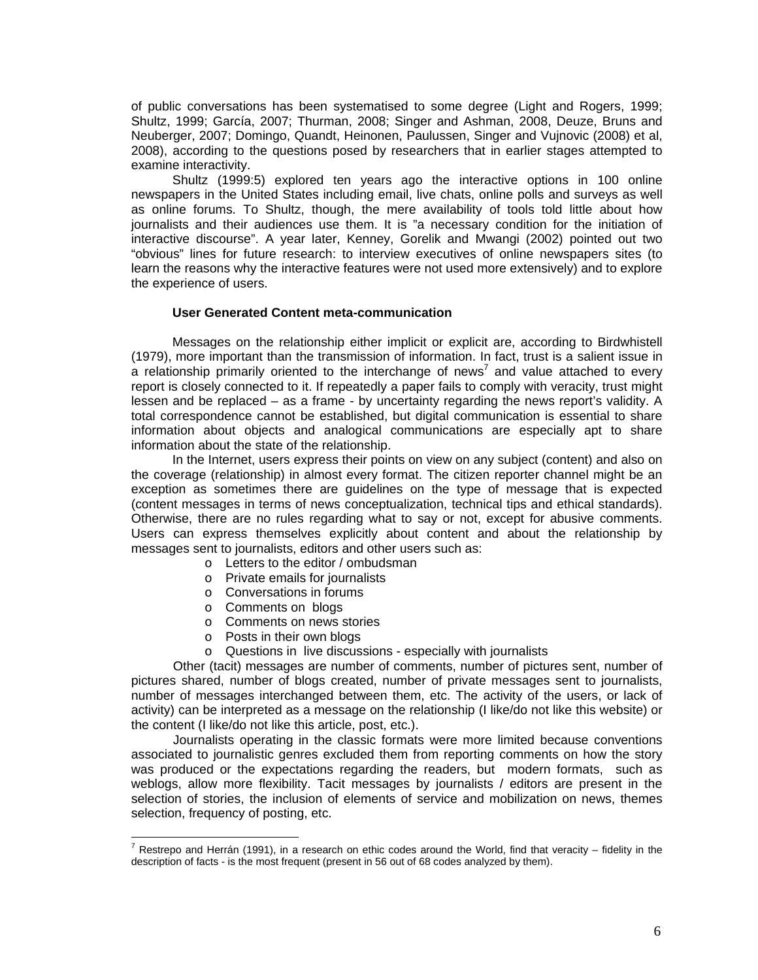of public conversations has been systematised to some degree (Light and Rogers, 1999; Shultz, 1999; García, 2007; Thurman, 2008; Singer and Ashman, 2008, Deuze, Bruns and Neuberger, 2007; Domingo, Quandt, Heinonen, Paulussen, Singer and Vujnovic (2008) et al, 2008), according to the questions posed by researchers that in earlier stages attempted to examine interactivity.

Shultz (1999:5) explored ten years ago the interactive options in 100 online newspapers in the United States including email, live chats, online polls and surveys as well as online forums. To Shultz, though, the mere availability of tools told little about how journalists and their audiences use them. It is "a necessary condition for the initiation of interactive discourse". A year later, Kenney, Gorelik and Mwangi (2002) pointed out two "obvious" lines for future research: to interview executives of online newspapers sites (to learn the reasons why the interactive features were not used more extensively) and to explore the experience of users.

# **User Generated Content meta-communication**

Messages on the relationship either implicit or explicit are, according to Birdwhistell (1979), more important than the transmission of information. In fact, trust is a salient issue in a relationship primarily oriented to the interchange of news<sup>7</sup> and value attached to every report is closely connected to it. If repeatedly a paper fails to comply with veracity, trust might lessen and be replaced – as a frame - by uncertainty regarding the news report's validity. A total correspondence cannot be established, but digital communication is essential to share information about objects and analogical communications are especially apt to share information about the state of the relationship.

In the Internet, users express their points on view on any subject (content) and also on the coverage (relationship) in almost every format. The citizen reporter channel might be an exception as sometimes there are guidelines on the type of message that is expected (content messages in terms of news conceptualization, technical tips and ethical standards). Otherwise, there are no rules regarding what to say or not, except for abusive comments. Users can express themselves explicitly about content and about the relationship by messages sent to journalists, editors and other users such as:

- o Letters to the editor / ombudsman
- o Private emails for journalists
- o Conversations in forums
- o Comments on blogs
- o Comments on news stories
- o Posts in their own blogs
- o Questions in live discussions especially with journalists

Other (tacit) messages are number of comments, number of pictures sent, number of pictures shared, number of blogs created, number of private messages sent to journalists, number of messages interchanged between them, etc. The activity of the users, or lack of activity) can be interpreted as a message on the relationship (I like/do not like this website) or the content (I like/do not like this article, post, etc.).

Journalists operating in the classic formats were more limited because conventions associated to journalistic genres excluded them from reporting comments on how the story was produced or the expectations regarding the readers, but modern formats, such as weblogs, allow more flexibility. Tacit messages by journalists / editors are present in the selection of stories, the inclusion of elements of service and mobilization on news, themes selection, frequency of posting, etc.

 7 Restrepo and Herrán (1991), in a research on ethic codes around the World, find that veracity – fidelity in the description of facts - is the most frequent (present in 56 out of 68 codes analyzed by them).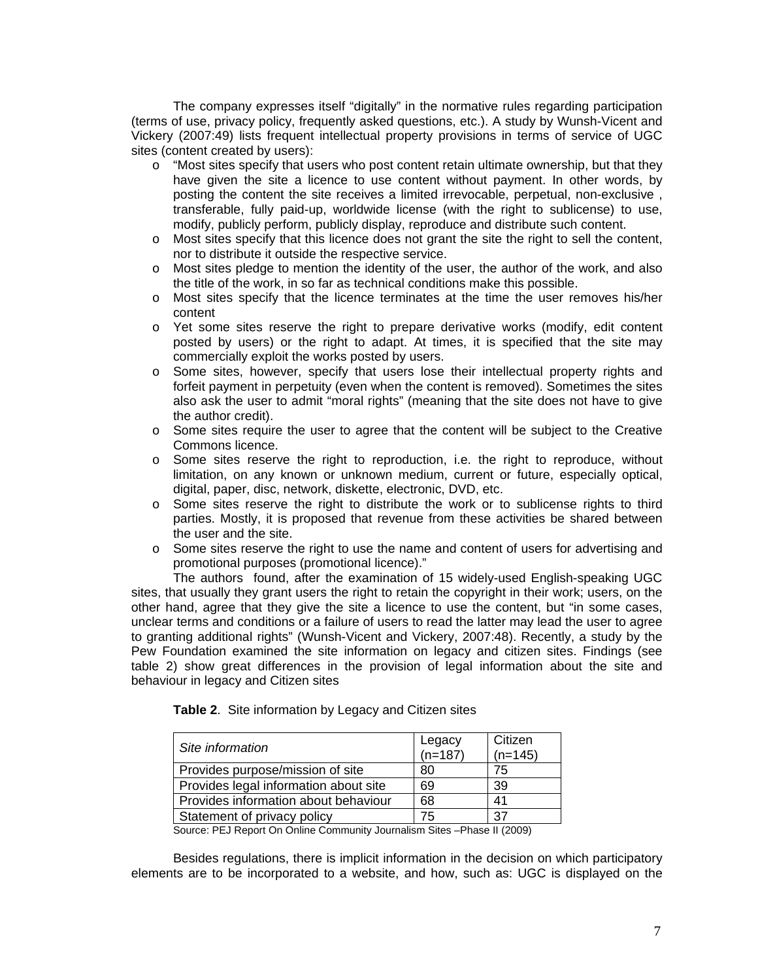The company expresses itself "digitally" in the normative rules regarding participation (terms of use, privacy policy, frequently asked questions, etc.). A study by Wunsh-Vicent and Vickery (2007:49) lists frequent intellectual property provisions in terms of service of UGC sites (content created by users):

- $\circ$  "Most sites specify that users who post content retain ultimate ownership, but that they have given the site a licence to use content without payment. In other words, by posting the content the site receives a limited irrevocable, perpetual, non-exclusive , transferable, fully paid-up, worldwide license (with the right to sublicense) to use, modify, publicly perform, publicly display, reproduce and distribute such content.
- $\circ$  Most sites specify that this licence does not grant the site the right to sell the content, nor to distribute it outside the respective service.
- $\circ$  Most sites pledge to mention the identity of the user, the author of the work, and also the title of the work, in so far as technical conditions make this possible.
- o Most sites specify that the licence terminates at the time the user removes his/her content
- o Yet some sites reserve the right to prepare derivative works (modify, edit content posted by users) or the right to adapt. At times, it is specified that the site may commercially exploit the works posted by users.
- o Some sites, however, specify that users lose their intellectual property rights and forfeit payment in perpetuity (even when the content is removed). Sometimes the sites also ask the user to admit "moral rights" (meaning that the site does not have to give the author credit).
- o Some sites require the user to agree that the content will be subject to the Creative Commons licence.
- $\circ$  Some sites reserve the right to reproduction, i.e. the right to reproduce, without limitation, on any known or unknown medium, current or future, especially optical, digital, paper, disc, network, diskette, electronic, DVD, etc.
- o Some sites reserve the right to distribute the work or to sublicense rights to third parties. Mostly, it is proposed that revenue from these activities be shared between the user and the site.
- o Some sites reserve the right to use the name and content of users for advertising and promotional purposes (promotional licence)."

The authors found, after the examination of 15 widely-used English-speaking UGC sites, that usually they grant users the right to retain the copyright in their work; users, on the other hand, agree that they give the site a licence to use the content, but "in some cases, unclear terms and conditions or a failure of users to read the latter may lead the user to agree to granting additional rights" (Wunsh-Vicent and Vickery, 2007:48). Recently, a study by the Pew Foundation examined the site information on legacy and citizen sites. Findings (see table 2) show great differences in the provision of legal information about the site and behaviour in legacy and Citizen sites

| <b>Table 2.</b> Site information by Legacy and Citizen sites |  |
|--------------------------------------------------------------|--|
|--------------------------------------------------------------|--|

|    | Citizen           |
|----|-------------------|
|    | $(n=145)$         |
| 80 | 75                |
| 69 | 39                |
| 68 | 41                |
| 75 | 37                |
|    | Legacy<br>(n=187) |

Source: PEJ Report On Online Community Journalism Sites –Phase II (2009)

Besides regulations, there is implicit information in the decision on which participatory elements are to be incorporated to a website, and how, such as: UGC is displayed on the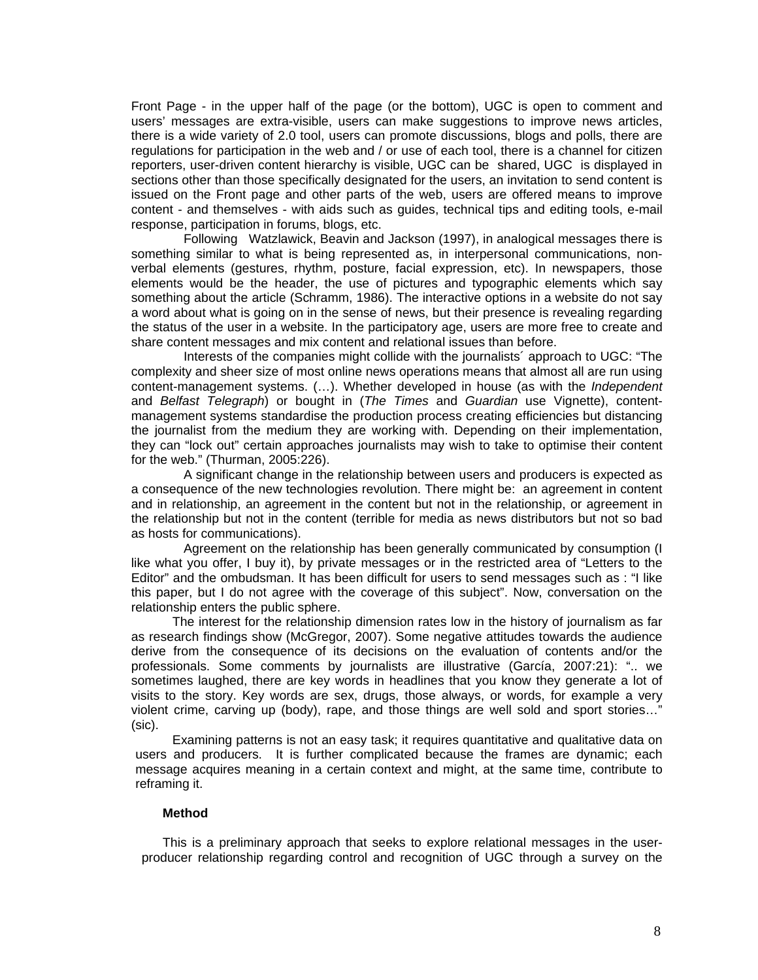Front Page - in the upper half of the page (or the bottom), UGC is open to comment and users' messages are extra-visible, users can make suggestions to improve news articles, there is a wide variety of 2.0 tool, users can promote discussions, blogs and polls, there are regulations for participation in the web and / or use of each tool, there is a channel for citizen reporters, user-driven content hierarchy is visible, UGC can be shared, UGC is displayed in sections other than those specifically designated for the users, an invitation to send content is issued on the Front page and other parts of the web, users are offered means to improve content - and themselves - with aids such as guides, technical tips and editing tools, e-mail response, participation in forums, blogs, etc.

Following Watzlawick, Beavin and Jackson (1997), in analogical messages there is something similar to what is being represented as, in interpersonal communications, nonverbal elements (gestures, rhythm, posture, facial expression, etc). In newspapers, those elements would be the header, the use of pictures and typographic elements which say something about the article (Schramm, 1986). The interactive options in a website do not say a word about what is going on in the sense of news, but their presence is revealing regarding the status of the user in a website. In the participatory age, users are more free to create and share content messages and mix content and relational issues than before.

Interests of the companies might collide with the journalists´ approach to UGC: "The complexity and sheer size of most online news operations means that almost all are run using content-management systems. (…). Whether developed in house (as with the *Independent* and *Belfast Telegraph*) or bought in (*The Times* and *Guardian* use Vignette), contentmanagement systems standardise the production process creating efficiencies but distancing the journalist from the medium they are working with. Depending on their implementation, they can "lock out" certain approaches journalists may wish to take to optimise their content for the web." (Thurman, 2005:226).

A significant change in the relationship between users and producers is expected as a consequence of the new technologies revolution. There might be: an agreement in content and in relationship, an agreement in the content but not in the relationship, or agreement in the relationship but not in the content (terrible for media as news distributors but not so bad as hosts for communications).

Agreement on the relationship has been generally communicated by consumption (I like what you offer, I buy it), by private messages or in the restricted area of "Letters to the Editor" and the ombudsman. It has been difficult for users to send messages such as : "I like this paper, but I do not agree with the coverage of this subject". Now, conversation on the relationship enters the public sphere.

The interest for the relationship dimension rates low in the history of journalism as far as research findings show (McGregor, 2007). Some negative attitudes towards the audience derive from the consequence of its decisions on the evaluation of contents and/or the professionals. Some comments by journalists are illustrative (García, 2007:21): ".. we sometimes laughed, there are key words in headlines that you know they generate a lot of visits to the story. Key words are sex, drugs, those always, or words, for example a very violent crime, carving up (body), rape, and those things are well sold and sport stories…" (sic).

Examining patterns is not an easy task; it requires quantitative and qualitative data on users and producers. It is further complicated because the frames are dynamic; each message acquires meaning in a certain context and might, at the same time, contribute to reframing it.

# **Method**

This is a preliminary approach that seeks to explore relational messages in the userproducer relationship regarding control and recognition of UGC through a survey on the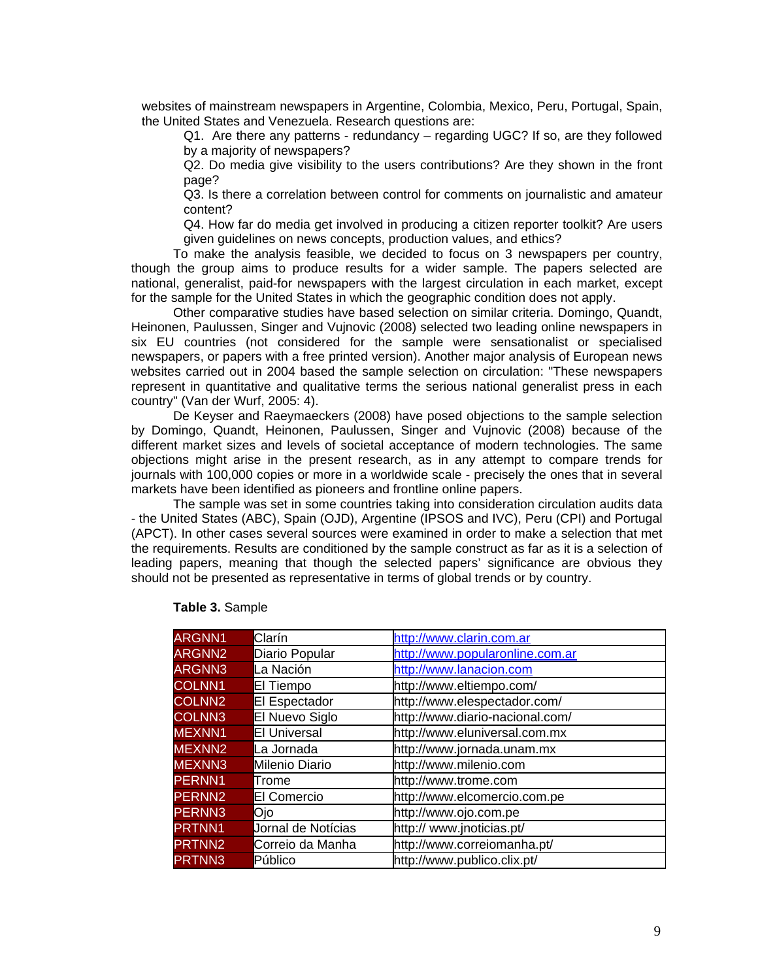websites of mainstream newspapers in Argentine, Colombia, Mexico, Peru, Portugal, Spain, the United States and Venezuela. Research questions are:

Q1. Are there any patterns - redundancy – regarding UGC? If so, are they followed by a majority of newspapers?

Q2. Do media give visibility to the users contributions? Are they shown in the front page?

Q3. Is there a correlation between control for comments on journalistic and amateur content?

Q4. How far do media get involved in producing a citizen reporter toolkit? Are users given guidelines on news concepts, production values, and ethics?

To make the analysis feasible, we decided to focus on 3 newspapers per country, though the group aims to produce results for a wider sample. The papers selected are national, generalist, paid-for newspapers with the largest circulation in each market, except for the sample for the United States in which the geographic condition does not apply.

Other comparative studies have based selection on similar criteria. Domingo, Quandt, Heinonen, Paulussen, Singer and Vujnovic (2008) selected two leading online newspapers in six EU countries (not considered for the sample were sensationalist or specialised newspapers, or papers with a free printed version). Another major analysis of European news websites carried out in 2004 based the sample selection on circulation: "These newspapers represent in quantitative and qualitative terms the serious national generalist press in each country" (Van der Wurf, 2005: 4).

De Keyser and Raeymaeckers (2008) have posed objections to the sample selection by Domingo, Quandt, Heinonen, Paulussen, Singer and Vujnovic (2008) because of the different market sizes and levels of societal acceptance of modern technologies. The same objections might arise in the present research, as in any attempt to compare trends for journals with 100,000 copies or more in a worldwide scale - precisely the ones that in several markets have been identified as pioneers and frontline online papers.

The sample was set in some countries taking into consideration circulation audits data - the United States (ABC), Spain (OJD), Argentine (IPSOS and IVC), Peru (CPI) and Portugal (APCT). In other cases several sources were examined in order to make a selection that met the requirements. Results are conditioned by the sample construct as far as it is a selection of leading papers, meaning that though the selected papers' significance are obvious they should not be presented as representative in terms of global trends or by country.

| ARGNN1             | Clarín              | http://www.clarin.com.ar        |
|--------------------|---------------------|---------------------------------|
| <b>ARGNN2</b>      | Diario Popular      | http://www.popularonline.com.ar |
| <b>ARGNN3</b>      | La Nación           | http://www.lanacion.com         |
| <b>COLNN1</b>      | El Tiempo           | http://www.eltiempo.com/        |
| COLNN <sub>2</sub> | El Espectador       | http://www.elespectador.com/    |
| <b>COLNN3</b>      | El Nuevo Siglo      | http://www.diario-nacional.com/ |
| MEXNN1             | <b>El Universal</b> | http://www.eluniversal.com.mx   |
| MEXNN <sub>2</sub> | La Jornada          | http://www.jornada.unam.mx      |
| MEXNN3             | Milenio Diario      | http://www.milenio.com          |
| PERNN1             | Trome               | http://www.trome.com            |
| PERNN <sub>2</sub> | <b>El Comercio</b>  | http://www.elcomercio.com.pe    |
| <b>PERNN3</b>      | Oio                 | http://www.ojo.com.pe           |
| PRTNN1             | Jornal de Notícias  | http:// www.jnoticias.pt/       |
| <b>PRTNN2</b>      | Correio da Manha    | http://www.correiomanha.pt/     |
| <b>PRTNN3</b>      | Público             | http://www.publico.clix.pt/     |

**Table 3.** Sample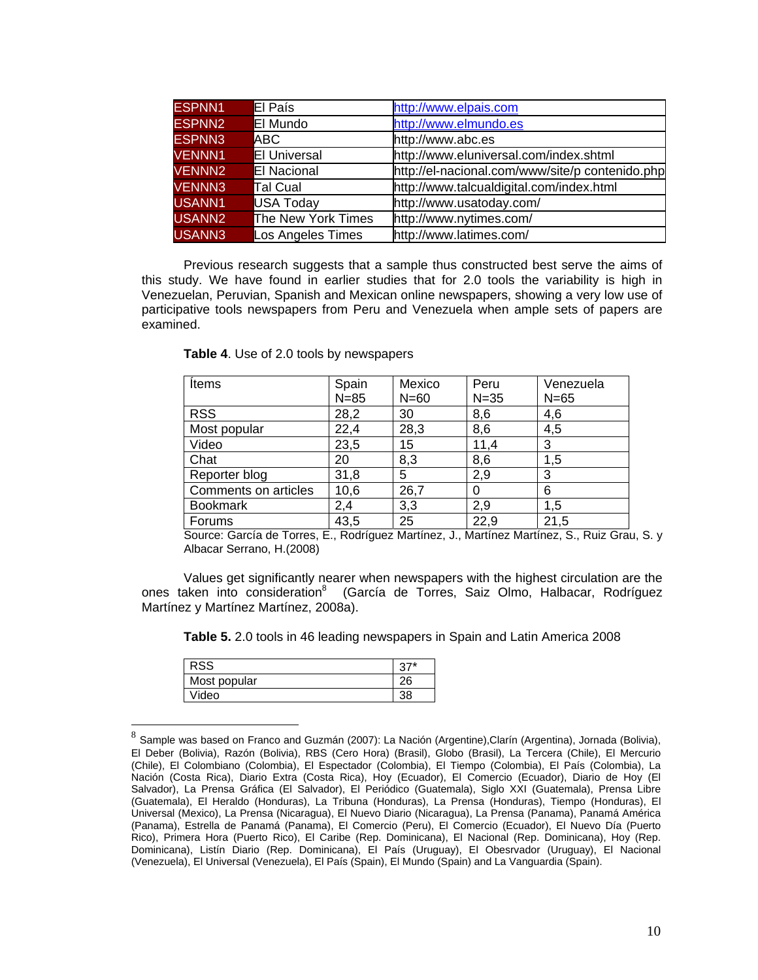| <b>ESPNN1</b>      | El País             | http://www.elpais.com                           |
|--------------------|---------------------|-------------------------------------------------|
| ESPNN2             | El Mundo            | http://www.elmundo.es                           |
| <b>ESPNN3</b>      | ABC.                | http://www.abc.es                               |
| <b>VENNN1</b>      | <b>El Universal</b> | http://www.eluniversal.com/index.shtml          |
| <b>VENNN2</b>      | <b>El Nacional</b>  | http://el-nacional.com/www/site/p contenido.php |
| <b>VENNN3</b>      | <b>Tal Cual</b>     | http://www.talcualdigital.com/index.html        |
| <b>USANN1</b>      | <b>USA Today</b>    | http://www.usatoday.com/                        |
| USANN <sub>2</sub> | The New York Times  | http://www.nytimes.com/                         |
| USANN3             | Los Angeles Times   | http://www.latimes.com/                         |

Previous research suggests that a sample thus constructed best serve the aims of this study. We have found in earlier studies that for 2.0 tools the variability is high in Venezuelan, Peruvian, Spanish and Mexican online newspapers, showing a very low use of participative tools newspapers from Peru and Venezuela when ample sets of papers are examined.

| <b>Items</b>         | Spain  | Mexico | Peru     | Venezuela |
|----------------------|--------|--------|----------|-----------|
|                      | $N=85$ | $N=60$ | $N = 35$ | $N=65$    |
| <b>RSS</b>           | 28,2   | 30     | 8,6      | 4,6       |
| Most popular         | 22,4   | 28,3   | 8,6      | 4,5       |
| Video                | 23,5   | 15     | 11,4     | 3         |
| Chat                 | 20     | 8,3    | 8,6      | 1,5       |
| Reporter blog        | 31,8   | 5      | 2,9      | 3         |
| Comments on articles | 10,6   | 26,7   | 0        | 6         |
| <b>Bookmark</b>      | 2,4    | 3,3    | 2,9      | 1,5       |
| Forums               | 43,5   | 25     | 22,9     | 21,5      |

**Table 4**. Use of 2.0 tools by newspapers

Source: García de Torres, E., Rodríguez Martínez, J., Martínez Martínez, S., Ruiz Grau, S. y Albacar Serrano, H.(2008)

Values get significantly nearer when newspapers with the highest circulation are the ones taken into consideration<sup>8</sup> (García de Torres, Saiz Olmo, Halbacar, Rodríguez Martínez y Martínez Martínez, 2008a).

**Table 5.** 2.0 tools in 46 leading newspapers in Spain and Latin America 2008

| ເວວ          | ⇁∗ |
|--------------|----|
| Most popular | 26 |
| /ideo        |    |

 $\overline{a}$ 

 $^8$  Sample was based on Franco and Guzmán (2007): La Nación (Argentine),Clarín (Argentina), Jornada (Bolivia), El Deber (Bolivia), Razón (Bolivia), RBS (Cero Hora) (Brasil), Globo (Brasil), La Tercera (Chile), El Mercurio (Chile), El Colombiano (Colombia), El Espectador (Colombia), El Tiempo (Colombia), El País (Colombia), La Nación (Costa Rica), Diario Extra (Costa Rica), Hoy (Ecuador), El Comercio (Ecuador), Diario de Hoy (El Salvador), La Prensa Gráfica (El Salvador), El Periódico (Guatemala), Siglo XXI (Guatemala), Prensa Libre (Guatemala), El Heraldo (Honduras), La Tribuna (Honduras), La Prensa (Honduras), Tiempo (Honduras), El Universal (Mexico), La Prensa (Nicaragua), El Nuevo Diario (Nicaragua), La Prensa (Panama), Panamá América (Panama), Estrella de Panamá (Panama), El Comercio (Peru), El Comercio (Ecuador), El Nuevo Día (Puerto Rico), Primera Hora (Puerto Rico), El Caribe (Rep. Dominicana), El Nacional (Rep. Dominicana), Hoy (Rep. Dominicana), Listín Diario (Rep. Dominicana), El País (Uruguay), El Obesrvador (Uruguay), El Nacional (Venezuela), El Universal (Venezuela), El País (Spain), El Mundo (Spain) and La Vanguardia (Spain).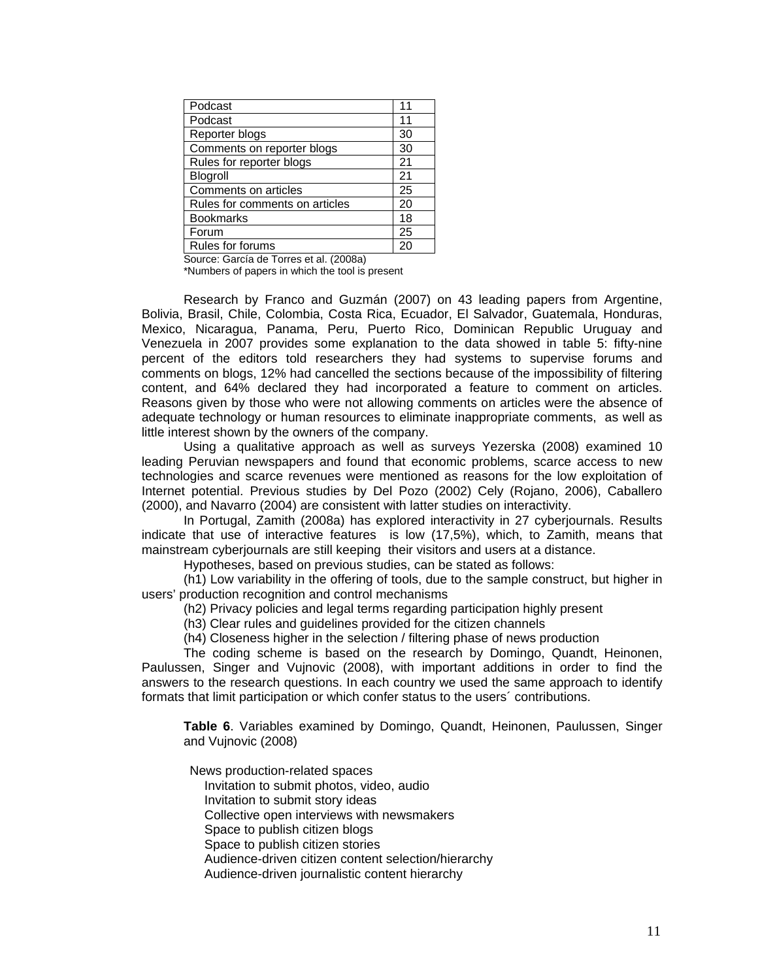| Podcast                        | 11 |
|--------------------------------|----|
| Podcast                        | 11 |
| Reporter blogs                 | 30 |
| Comments on reporter blogs     | 30 |
| Rules for reporter blogs       | 21 |
| Blogroll                       | 21 |
| Comments on articles           | 25 |
| Rules for comments on articles | 20 |
| <b>Bookmarks</b>               | 18 |
| Forum                          | 25 |
| Rules for forums               | 20 |

Source: García de Torres et al. (2008a)

\*Numbers of papers in which the tool is present

Research by Franco and Guzmán (2007) on 43 leading papers from Argentine, Bolivia, Brasil, Chile, Colombia, Costa Rica, Ecuador, El Salvador, Guatemala, Honduras, Mexico, Nicaragua, Panama, Peru, Puerto Rico, Dominican Republic Uruguay and Venezuela in 2007 provides some explanation to the data showed in table 5: fifty-nine percent of the editors told researchers they had systems to supervise forums and comments on blogs, 12% had cancelled the sections because of the impossibility of filtering content, and 64% declared they had incorporated a feature to comment on articles. Reasons given by those who were not allowing comments on articles were the absence of adequate technology or human resources to eliminate inappropriate comments, as well as little interest shown by the owners of the company.

Using a qualitative approach as well as surveys Yezerska (2008) examined 10 leading Peruvian newspapers and found that economic problems, scarce access to new technologies and scarce revenues were mentioned as reasons for the low exploitation of Internet potential. Previous studies by Del Pozo (2002) Cely (Rojano, 2006), Caballero (2000), and Navarro (2004) are consistent with latter studies on interactivity.

In Portugal, Zamith (2008a) has explored interactivity in 27 cyberjournals. Results indicate that use of interactive features is low (17,5%), which, to Zamith, means that mainstream cyberjournals are still keeping their visitors and users at a distance.

Hypotheses, based on previous studies, can be stated as follows:

(h1) Low variability in the offering of tools, due to the sample construct, but higher in users' production recognition and control mechanisms

(h2) Privacy policies and legal terms regarding participation highly present

(h3) Clear rules and guidelines provided for the citizen channels

(h4) Closeness higher in the selection / filtering phase of news production

The coding scheme is based on the research by Domingo, Quandt, Heinonen, Paulussen, Singer and Vujnovic (2008), with important additions in order to find the answers to the research questions. In each country we used the same approach to identify formats that limit participation or which confer status to the users´ contributions.

**Table 6**. Variables examined by Domingo, Quandt, Heinonen, Paulussen, Singer and Vujnovic (2008)

News production-related spaces

Invitation to submit photos, video, audio

Invitation to submit story ideas

Collective open interviews with newsmakers

Space to publish citizen blogs

Space to publish citizen stories

Audience-driven citizen content selection/hierarchy

Audience-driven journalistic content hierarchy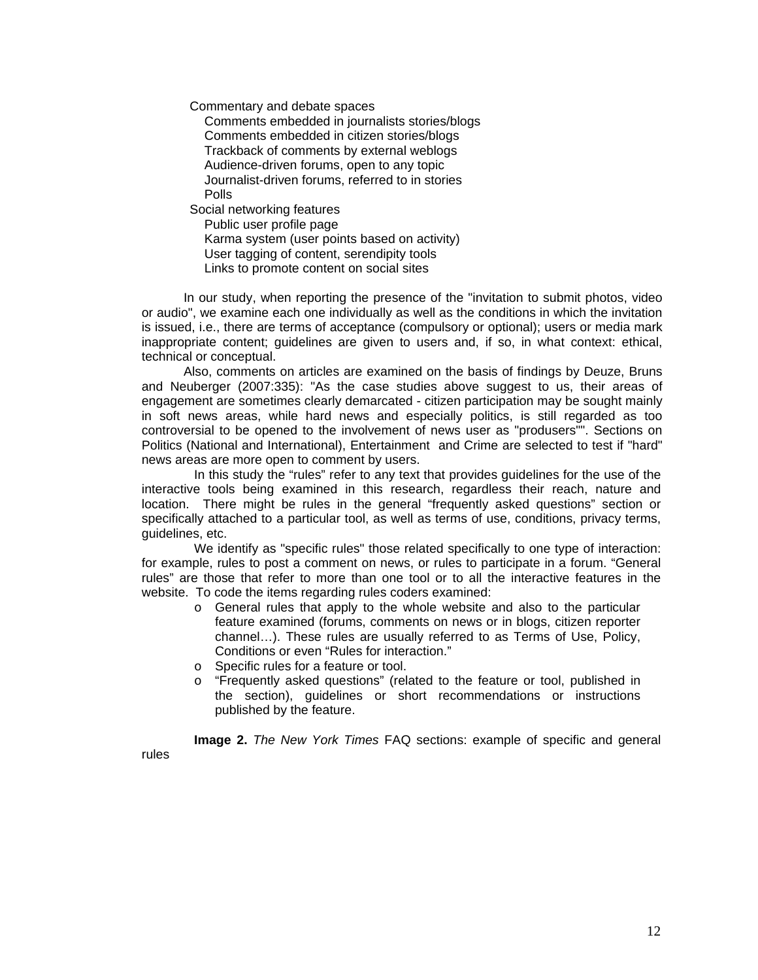Commentary and debate spaces

Comments embedded in journalists stories/blogs Comments embedded in citizen stories/blogs Trackback of comments by external weblogs Audience-driven forums, open to any topic Journalist-driven forums, referred to in stories Polls

Social networking features

Public user profile page Karma system (user points based on activity) User tagging of content, serendipity tools Links to promote content on social sites

In our study, when reporting the presence of the "invitation to submit photos, video or audio", we examine each one individually as well as the conditions in which the invitation is issued, i.e., there are terms of acceptance (compulsory or optional); users or media mark inappropriate content; guidelines are given to users and, if so, in what context: ethical, technical or conceptual.

Also, comments on articles are examined on the basis of findings by Deuze, Bruns and Neuberger (2007:335): "As the case studies above suggest to us, their areas of engagement are sometimes clearly demarcated - citizen participation may be sought mainly in soft news areas, while hard news and especially politics, is still regarded as too controversial to be opened to the involvement of news user as "produsers"". Sections on Politics (National and International), Entertainment and Crime are selected to test if "hard" news areas are more open to comment by users.

In this study the "rules" refer to any text that provides guidelines for the use of the interactive tools being examined in this research, regardless their reach, nature and location. There might be rules in the general "frequently asked questions" section or specifically attached to a particular tool, as well as terms of use, conditions, privacy terms, guidelines, etc.

We identify as "specific rules" those related specifically to one type of interaction: for example, rules to post a comment on news, or rules to participate in a forum. "General rules" are those that refer to more than one tool or to all the interactive features in the website. To code the items regarding rules coders examined:

- $\circ$  General rules that apply to the whole website and also to the particular feature examined (forums, comments on news or in blogs, citizen reporter channel…). These rules are usually referred to as Terms of Use, Policy, Conditions or even "Rules for interaction."
- o Specific rules for a feature or tool.
- o "Frequently asked questions" (related to the feature or tool, published in the section), guidelines or short recommendations or instructions published by the feature.

**Image 2.** *The New York Times* FAQ sections: example of specific and general

rules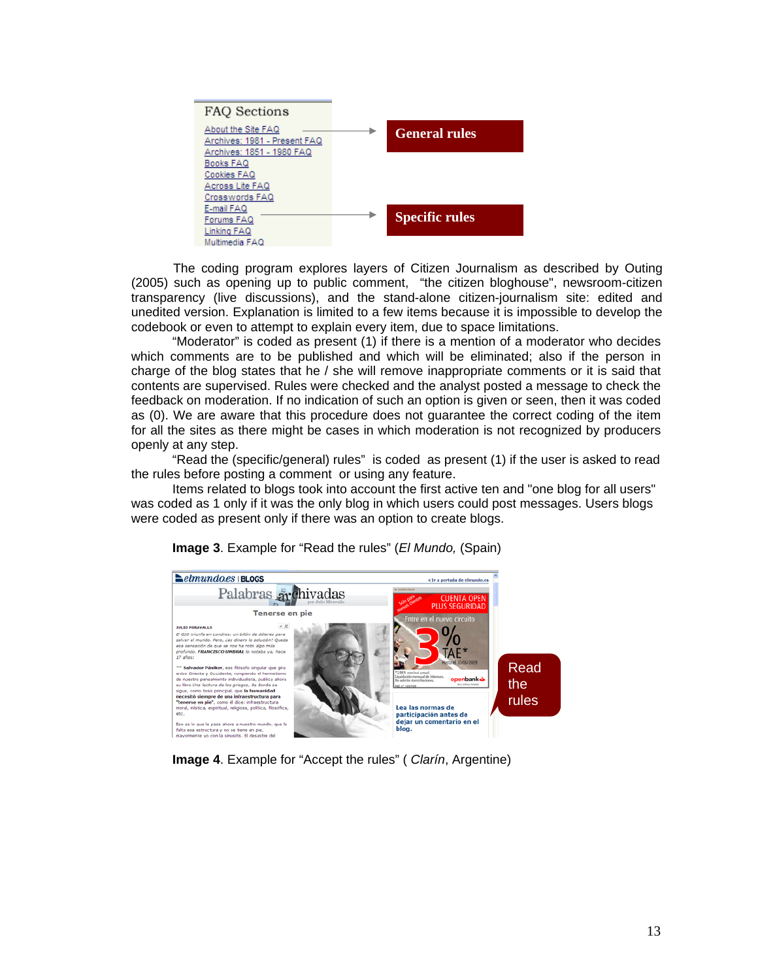| FAQ Sections                                       |                       |
|----------------------------------------------------|-----------------------|
| About the Site FAQ<br>Archives: 1981 - Present FAQ | <b>General rules</b>  |
| Archives: 1851 - 1980 FAQ                          |                       |
| Books FAQ                                          |                       |
| Cookies FAQ                                        |                       |
| Across Lite FAQ                                    |                       |
| Crosswords FAQ                                     |                       |
| E-mail FAQ                                         |                       |
| Forums FAQ                                         | <b>Specific rules</b> |
| Linking FAQ                                        |                       |
| Multimedia FAQ                                     |                       |

The coding program explores layers of Citizen Journalism as described by Outing (2005) such as opening up to public comment, "the citizen bloghouse", newsroom-citizen transparency (live discussions), and the stand-alone citizen-journalism site: edited and unedited version. Explanation is limited to a few items because it is impossible to develop the codebook or even to attempt to explain every item, due to space limitations.

"Moderator" is coded as present (1) if there is a mention of a moderator who decides which comments are to be published and which will be eliminated; also if the person in charge of the blog states that he / she will remove inappropriate comments or it is said that contents are supervised. Rules were checked and the analyst posted a message to check the feedback on moderation. If no indication of such an option is given or seen, then it was coded as (0). We are aware that this procedure does not guarantee the correct coding of the item for all the sites as there might be cases in which moderation is not recognized by producers openly at any step.

"Read the (specific/general) rules" is coded as present (1) if the user is asked to read the rules before posting a comment or using any feature.

Items related to blogs took into account the first active ten and "one blog for all users" was coded as 1 only if it was the only blog in which users could post messages. Users blogs were coded as present only if there was an option to create blogs.



**Image 3**. Example for "Read the rules" (*El Mundo,* (Spain)

**Image 4**. Example for "Accept the rules" ( *Clarín*, Argentine)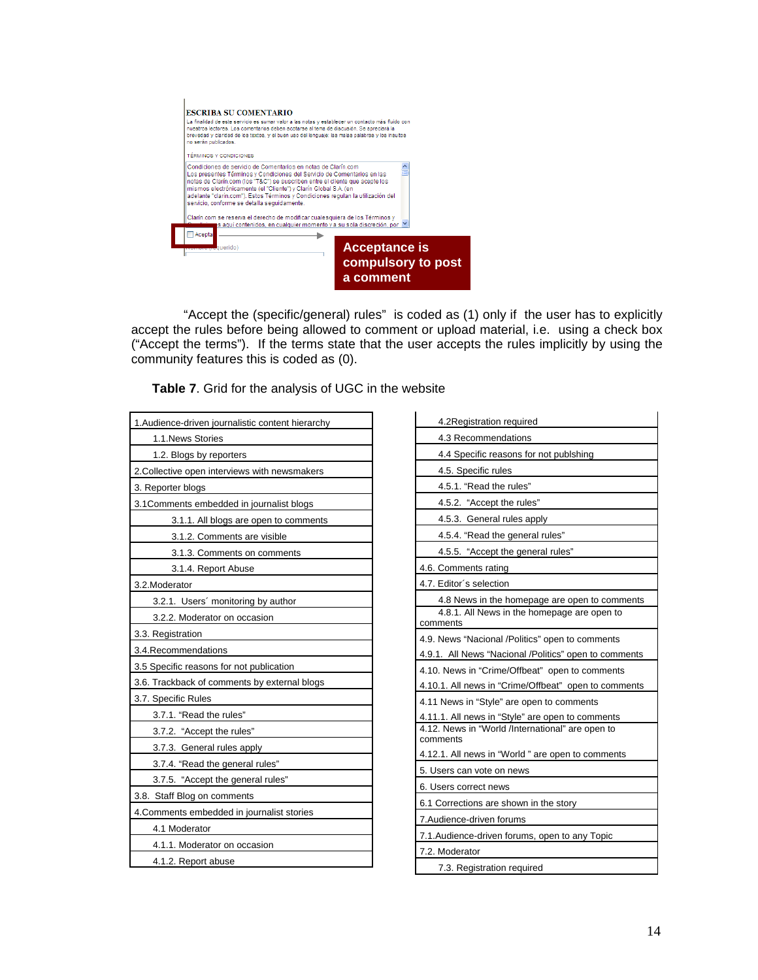

"Accept the (specific/general) rules" is coded as (1) only if the user has to explicitly accept the rules before being allowed to comment or upload material, i.e. using a check box ("Accept the terms"). If the terms state that the user accepts the rules implicitly by using the community features this is coded as (0).

| 1. Audience-driven journalistic content hierarchy |
|---------------------------------------------------|
| 1.1. News Stories                                 |
| 1.2. Blogs by reporters                           |
| 2. Collective open interviews with newsmakers     |
| 3. Reporter blogs                                 |
| 3.1 Comments embedded in journalist blogs         |
| 3.1.1. All blogs are open to comments             |
| 3.1.2. Comments are visible                       |
| 3.1.3. Comments on comments                       |
| 3.1.4. Report Abuse                               |
| 3.2. Moderator                                    |
| 3.2.1. Users' monitoring by author                |
| 3.2.2. Moderator on occasion                      |
| 3.3. Registration                                 |
| 3.4. Recommendations                              |
| 3.5 Specific reasons for not publication          |
| 3.6. Trackback of comments by external blogs      |
| 3.7. Specific Rules                               |
| 3.7.1. "Read the rules"                           |
| 3.7.2. "Accept the rules"                         |
| 3.7.3. General rules apply                        |
| 3.7.4. "Read the general rules"                   |
| 3.7.5. "Accept the general rules"                 |
| 3.8. Staff Blog on comments                       |
| 4. Comments embedded in journalist stories        |
| 4.1 Moderator                                     |
| 4.1.1. Moderator on occasion                      |
| 4.1.2. Report abuse                               |

**Table 7**. Grid for the analysis of UGC in the website

| 4.2Registration required                                     |
|--------------------------------------------------------------|
| 4.3 Recommendations                                          |
| 4.4 Specific reasons for not publshing                       |
| 4.5. Specific rules                                          |
| 4.5.1. "Read the rules"                                      |
| 4.5.2. "Accept the rules"                                    |
| 4.5.3. General rules apply                                   |
| 4.5.4. "Read the general rules"                              |
| 4.5.5. "Accept the general rules"                            |
| 4.6. Comments rating                                         |
| 4.7. Editor's selection                                      |
| 4.8 News in the homepage are open to comments                |
| 4.8.1. All News in the homepage are open to<br>comments      |
| 4.9. News "Nacional /Politics" open to comments              |
| 4.9.1. All News "Nacional /Politics" open to comments        |
| 4.10. News in "Crime/Offbeat" open to comments               |
| 4.10.1. All news in "Crime/Offbeat" open to comments         |
| 4.11 News in "Style" are open to comments                    |
| 4.11.1. All news in "Style" are open to comments             |
| 4.12. News in "World /International" are open to<br>comments |
| 4.12.1. All news in "World" are open to comments             |
| 5. Users can vote on news                                    |
| 6. Users correct news                                        |
| 6.1 Corrections are shown in the story                       |
| 7.Audience-driven forums                                     |
| 7.1. Audience-driven forums, open to any Topic               |
| 7.2. Moderator                                               |
| 7.3. Registration required                                   |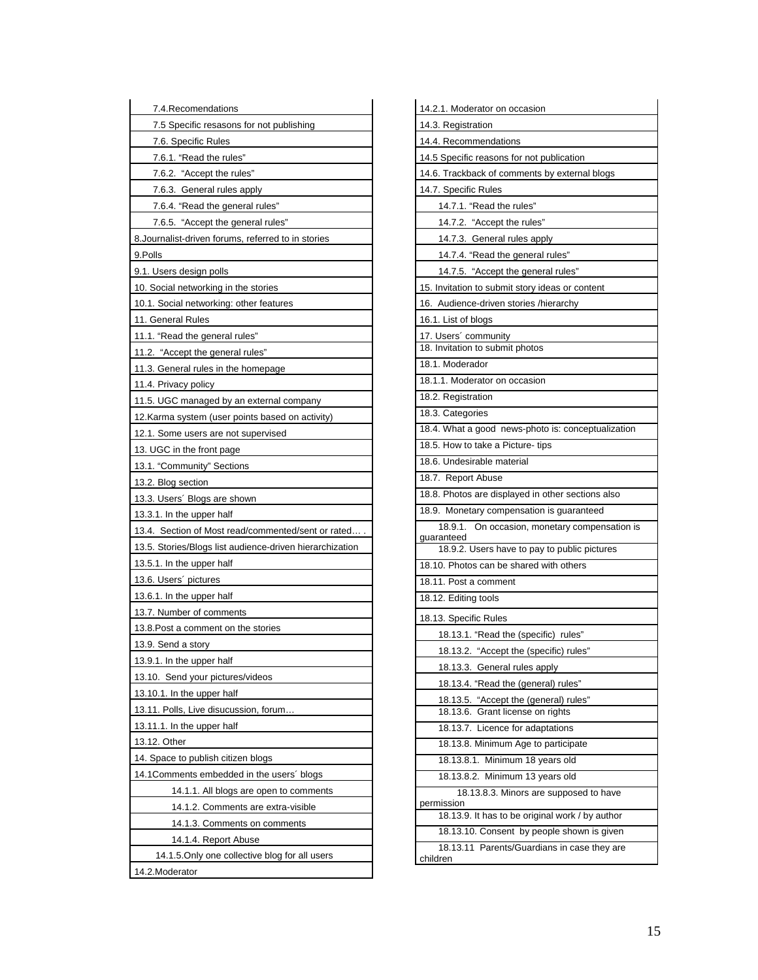| 14.2.1. Moderator on occasion                               |
|-------------------------------------------------------------|
| 14.3. Registration                                          |
| 14.4. Recommendations                                       |
| 14.5 Specific reasons for not publication                   |
| 14.6. Trackback of comments by external blogs               |
| 14.7. Specific Rules                                        |
| 14.7.1. "Read the rules"                                    |
| 14.7.2. "Accept the rules"                                  |
| 14.7.3. General rules apply                                 |
| 14.7.4. "Read the general rules"                            |
| 14.7.5. "Accept the general rules"                          |
| 15. Invitation to submit story ideas or content             |
| 16. Audience-driven stories /hierarchy                      |
| 16.1. List of blogs                                         |
| 17. Users' community                                        |
| 18. Invitation to submit photos                             |
| 18.1. Moderador                                             |
| 18.1.1. Moderator on occasion                               |
| 18.2. Registration                                          |
| 18.3. Categories                                            |
| 18.4. What a good news-photo is: conceptualization          |
| 18.5. How to take a Picture- tips                           |
| 18.6. Undesirable material                                  |
| 18.7. Report Abuse                                          |
| 18.8. Photos are displayed in other sections also           |
| 18.9. Monetary compensation is guaranteed                   |
| 18.9.1. On occasion, monetary compensation is<br>guaranteed |
| 18.9.2. Users have to pay to public pictures                |
| 18.10. Photos can be shared with others                     |
| 18.11. Post a comment                                       |
| 18.12. Editing tools                                        |
| 18.13. Specific Rules                                       |
| 18.13.1. "Read the (specific) rules"                        |
| 18.13.2. "Accept the (specific) rules"                      |
| 18.13.3. General rules apply                                |
| 18.13.4. "Read the (general) rules"                         |
| 18.13.5. "Accept the (general) rules"                       |
| 18.13.6. Grant license on rights                            |
| 18.13.7. Licence for adaptations                            |
| 18.13.8. Minimum Age to participate                         |
| 18.13.8.1. Minimum 18 years old                             |
| 18.13.8.2. Minimum 13 years old                             |
| 18.13.8.3. Minors are supposed to have<br>permission        |
| 18.13.9. It has to be original work / by author             |
| 18.13.10. Consent by people shown is given                  |
| 18.13.11 Parents/Guardians in case they are<br>children     |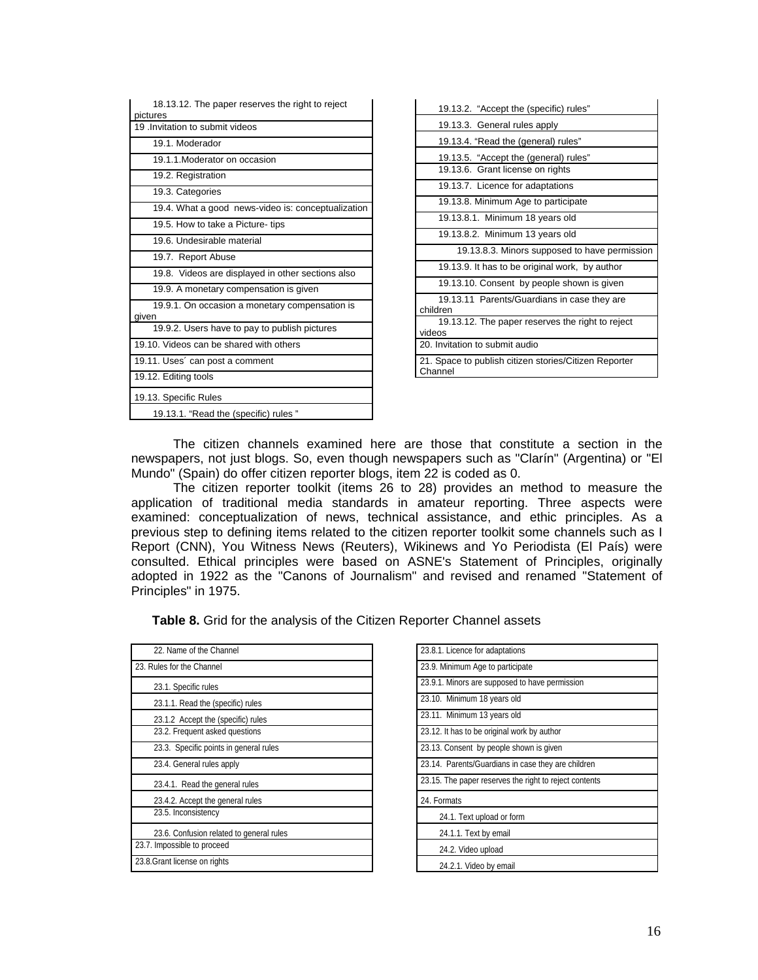| 18.13.12. The paper reserves the right to reject<br>pictures |
|--------------------------------------------------------------|
| 19. Invitation to submit videos                              |
| 19.1. Moderador                                              |
| 19.1.1. Moderator on occasion                                |
| 19.2. Registration                                           |
| 19.3. Categories                                             |
| 19.4. What a good news-video is: conceptualization           |
| 19.5. How to take a Picture- tips                            |
| 19.6. Undesirable material                                   |
| 19.7. Report Abuse                                           |
| 19.8. Videos are displayed in other sections also            |
| 19.9. A monetary compensation is given                       |
| 19.9.1. On occasion a monetary compensation is<br>given      |
| 19.9.2. Users have to pay to publish pictures                |
| 19.10. Videos can be shared with others                      |
| 19.11. Uses' can post a comment                              |
| 19.12. Editing tools                                         |
| 19.13. Specific Rules                                        |
| 19.13.1. "Read the (specific) rules"                         |

| 19.13.2. "Accept the (specific) rules"                           |
|------------------------------------------------------------------|
| 19.13.3. General rules apply                                     |
| 19.13.4. "Read the (general) rules"                              |
| 19.13.5. "Accept the (general) rules"                            |
| 19.13.6. Grant license on rights                                 |
| 19.13.7. Licence for adaptations                                 |
| 19.13.8. Minimum Age to participate                              |
| 19.13.8.1. Minimum 18 years old                                  |
| 19.13.8.2. Minimum 13 years old                                  |
| 19.13.8.3. Minors supposed to have permission                    |
| 19.13.9. It has to be original work, by author                   |
| 19.13.10. Consent by people shown is given                       |
| 19.13.11 Parents/Guardians in case they are<br>children          |
| 19.13.12. The paper reserves the right to reject                 |
| videos                                                           |
| 20. Invitation to submit audio                                   |
| 21. Space to publish citizen stories/Citizen Reporter<br>Channel |

The citizen channels examined here are those that constitute a section in the newspapers, not just blogs. So, even though newspapers such as "Clarín" (Argentina) or "El Mundo" (Spain) do offer citizen reporter blogs, item 22 is coded as 0.

The citizen reporter toolkit (items 26 to 28) provides an method to measure the application of traditional media standards in amateur reporting. Three aspects were examined: conceptualization of news, technical assistance, and ethic principles. As a previous step to defining items related to the citizen reporter toolkit some channels such as I Report (CNN), You Witness News (Reuters), Wikinews and Yo Periodista (El País) were consulted. Ethical principles were based on ASNE's Statement of Principles, originally adopted in 1922 as the "Canons of Journalism" and revised and renamed "Statement of Principles" in 1975.

**Table 8.** Grid for the analysis of the Citizen Reporter Channel assets

| 22. Name of the Channel                  |
|------------------------------------------|
| 23. Rules for the Channel                |
| 23.1. Specific rules                     |
| 23.1.1. Read the (specific) rules        |
| 23.1.2 Accept the (specific) rules       |
| 23.2. Frequent asked questions           |
| 23.3. Specific points in general rules   |
| 23.4. General rules apply                |
| 23.4.1. Read the general rules           |
| 23.4.2. Accept the general rules         |
| 23.5. Inconsistency                      |
| 23.6. Confusion related to general rules |
| 23.7. Impossible to proceed              |
| 23.8. Grant license on rights            |

| 23.8.1. Licence for adaptations                        |
|--------------------------------------------------------|
| 23.9. Minimum Age to participate                       |
| 23.9.1. Minors are supposed to have permission         |
| 23.10. Minimum 18 years old                            |
| 23.11. Minimum 13 years old                            |
| 23.12. It has to be original work by author            |
| 23.13. Consent by people shown is given                |
| 23.14. Parents/Guardians in case they are children     |
| 23.15. The paper reserves the right to reject contents |
| 24. Formats                                            |
| 24.1. Text upload or form                              |
| 24.1.1. Text by email                                  |
| 24.2. Video upload                                     |
| 24.2.1. Video by email                                 |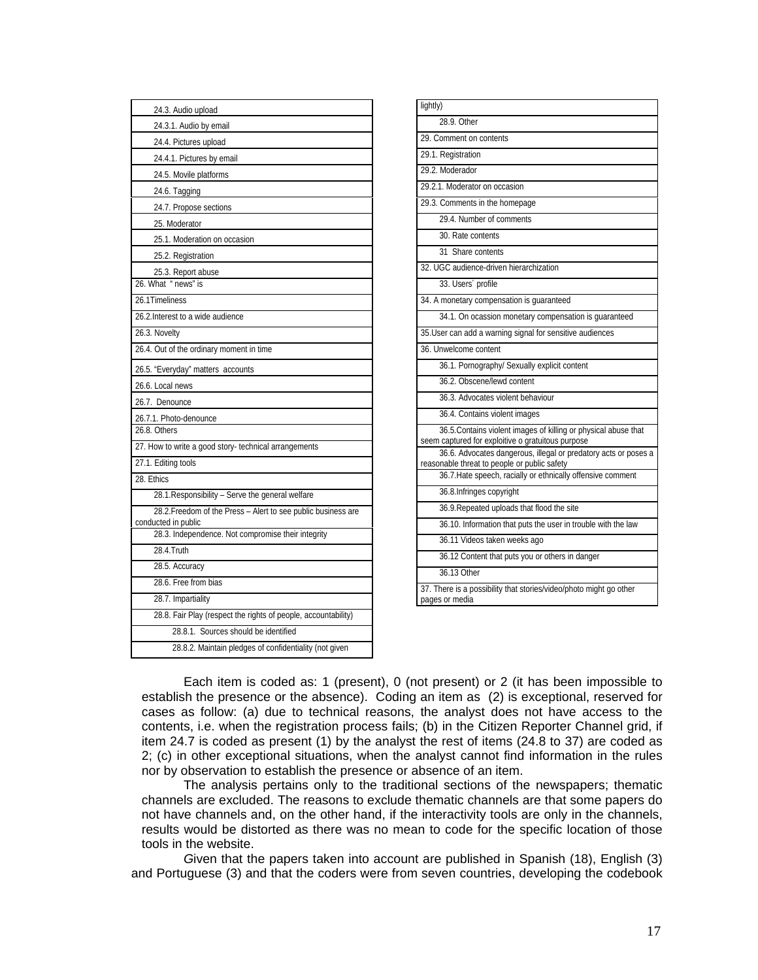| 24.3. Audio upload                                                        | lightly)                                                                                                             |
|---------------------------------------------------------------------------|----------------------------------------------------------------------------------------------------------------------|
| 24.3.1. Audio by email                                                    | 28.9. Other                                                                                                          |
| 24.4. Pictures upload                                                     | 29. Comment on contents                                                                                              |
| 24.4.1. Pictures by email                                                 | 29.1. Registration                                                                                                   |
| 24.5. Movile platforms                                                    | 29.2. Moderador                                                                                                      |
| 24.6. Tagging                                                             | 29.2.1. Moderator on occasion                                                                                        |
| 24.7. Propose sections                                                    | 29.3. Comments in the homepage                                                                                       |
| 25. Moderator                                                             | 29.4. Number of comments                                                                                             |
| 25.1. Moderation on occasion                                              | 30. Rate contents                                                                                                    |
| 25.2. Registration                                                        | 31 Share contents                                                                                                    |
| 25.3. Report abuse                                                        | 32. UGC audience-driven hierarchization                                                                              |
| 26. What "news" is                                                        | 33. Users' profile                                                                                                   |
| 26.1Timeliness                                                            | 34. A monetary compensation is guaranteed                                                                            |
| 26.2. Interest to a wide audience                                         | 34.1. On ocassion monetary compensation is guaranteed                                                                |
| 26.3. Novelty                                                             | 35. User can add a warning signal for sensitive audiences                                                            |
| 26.4. Out of the ordinary moment in time                                  | 36. Unwelcome content                                                                                                |
| 26.5. "Everyday" matters accounts                                         | 36.1. Pornography/ Sexually explicit content                                                                         |
| 26.6. Local news                                                          | 36.2. Obscene/lewd content                                                                                           |
| 26.7. Denounce                                                            | 36.3. Advocates violent behaviour                                                                                    |
| 26.7.1. Photo-denounce                                                    | 36.4. Contains violent images                                                                                        |
| 26.8. Others                                                              | 36.5. Contains violent images of killing or physical abuse that<br>seem captured for exploitive o gratuitous purpose |
| 27. How to write a good story- technical arrangements                     | 36.6. Advocates dangerous, illegal or predatory acts or poses a                                                      |
| 27.1. Editing tools                                                       | reasonable threat to people or public safety                                                                         |
| 28. Ethics                                                                | 36.7. Hate speech, racially or ethnically offensive comment                                                          |
| 28.1. Responsibility - Serve the general welfare                          | 36.8. Infringes copyright                                                                                            |
| 28.2. Freedom of the Press - Alert to see public business are             | 36.9. Repeated uploads that flood the site                                                                           |
| conducted in public<br>28.3. Independence. Not compromise their integrity | 36.10. Information that puts the user in trouble with the law                                                        |
| 28.4.Truth                                                                | 36.11 Videos taken weeks ago                                                                                         |
| 28.5. Accuracy                                                            | 36.12 Content that puts you or others in danger                                                                      |
| 28.6. Free from bias                                                      | 36.13 Other                                                                                                          |
|                                                                           | 37. There is a possibility that stories/video/photo might go other                                                   |
| 28.7. Impartiality                                                        | pages or media                                                                                                       |
| 28.8. Fair Play (respect the rights of people, accountability)            |                                                                                                                      |
| 28.8.1. Sources should be identified                                      |                                                                                                                      |
| 28.8.2. Maintain pledges of confidentiality (not given                    |                                                                                                                      |

Each item is coded as: 1 (present), 0 (not present) or 2 (it has been impossible to establish the presence or the absence). Coding an item as (2) is exceptional, reserved for cases as follow: (a) due to technical reasons, the analyst does not have access to the contents, i.e. when the registration process fails; (b) in the Citizen Reporter Channel grid, if item 24.7 is coded as present (1) by the analyst the rest of items (24.8 to 37) are coded as 2; (c) in other exceptional situations, when the analyst cannot find information in the rules nor by observation to establish the presence or absence of an item.

The analysis pertains only to the traditional sections of the newspapers; thematic channels are excluded. The reasons to exclude thematic channels are that some papers do not have channels and, on the other hand, if the interactivity tools are only in the channels, results would be distorted as there was no mean to code for the specific location of those tools in the website.

*G*iven that the papers taken into account are published in Spanish (18), English (3) and Portuguese (3) and that the coders were from seven countries, developing the codebook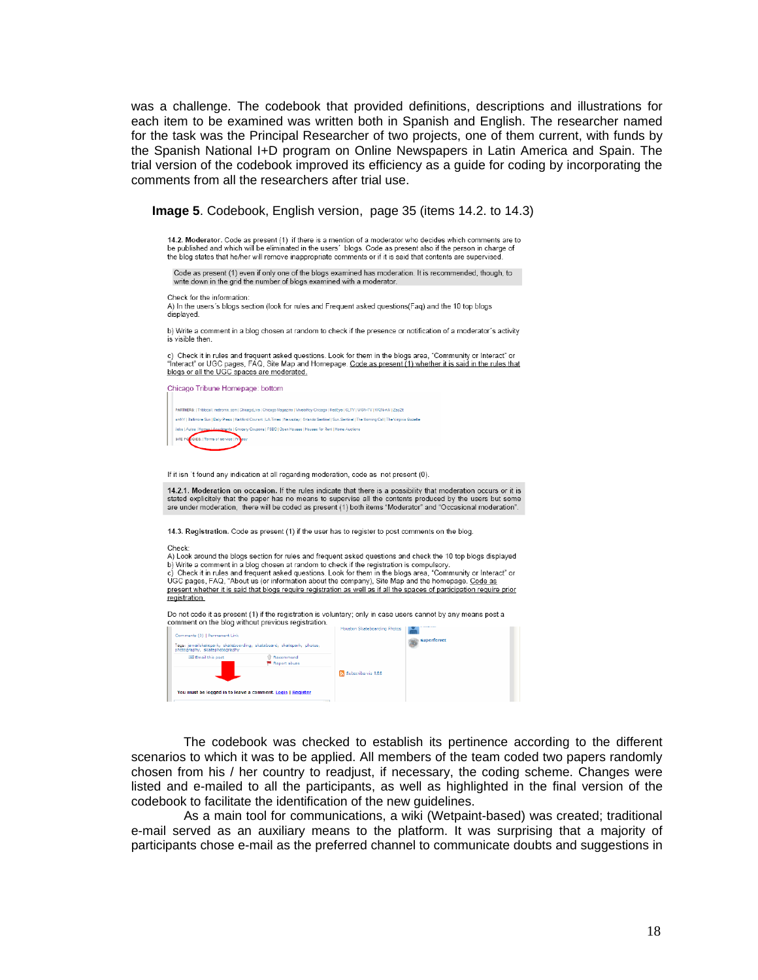was a challenge. The codebook that provided definitions, descriptions and illustrations for each item to be examined was written both in Spanish and English. The researcher named for the task was the Principal Researcher of two projects, one of them current, with funds by the Spanish National I+D program on Online Newspapers in Latin America and Spain. The trial version of the codebook improved its efficiency as a guide for coding by incorporating the comments from all the researchers after trial use.

**Image 5**. Codebook, English version, page 35 (items 14.2. to 14.3)

14.2. Moderator. Code as present (1) if there is a mention of a moderator who decides which comments are to be published and which will be eliminated in the users' blogs. Code as present also if the person in charge of the blog states that he/her will remove inappropriate comments or if it is said that contents are supervised.

Code as present (1) even if only one of the blogs examined has moderation. It is recommended, though, to write down in the grid the number of blogs examined with a moderator.

Check for the information

A) In the users's blogs section (look for rules and Frequent asked questions(Faq) and the 10 top blogs displayed

b) Write a comment in a blog chosen at random to check if the presence or notification of a moderator's activity is visible then

c) Check it in rules and frequent asked questions. Look for them in the blogs area, "Community or Interact" or<br>"Interact" or UGC pages, FAQ, Site Map and Homepage. <u>Code as present (1) whether it is said in the rules that</u> blogs or all the UGC spaces are moderated.

Chicago Tribune Homepage: bottom nix.com | ChicagoLive | Chicago Magazine | ViveleHoy Chicago | RedEye | CLTV | WGN-TV | WGN-AM | Zap2t amNY | Baltimore Sun | Daily Press | Hartford Courant | LA Times | Newsday | Orlando Sentinel | Sun-Sentinel | The Moming Call | The Virginia Gaze Grocery Coupons | FSBO | Open Houses | Houses for Rent | Home Auctions **IES: | Terms of service** 

If it isn 't found any indication at all regarding moderation, code as not present (0).

14.2.1. Moderation on occasion. If the rules indicate that there is a possibility that moderation occurs or it is stated explicitely that the paper has no means to supervise all the contents produced by the users but some<br>are under moderation, there will be coded as present (1) both items "Moderator" and "Occasional moderation".

14.3. Registration. Code as present (1) if the user has to register to post comments on the blog.

Check

A) Look around the blogs section for rules and frequent asked questions and check the 10 top blogs displayed b) Write a comment in a blog chosen at random to check if the registration is compulsory. c) Check it in rules and frequent asked questions. Look for them in the blogs area, "Community or Interact" or<br>UGC pages, FAQ, "About us (or information about the company), Site Map and the homepage. <u>Code as</u> present whether it is said that blogs require registration as well as if all the spaces of participation require prior registration.

Do not code it as present (1) if the registration is voluntary; only in case users cannot by any means post a comment on the blog without previous registration.

| Comments (0)   Permanent Link<br>Tags: jamailskatepark, skateboarding, skateboard, skatepark, photos,<br>photography, skatephotography | Houston Skateboarding Photos | superferret |
|----------------------------------------------------------------------------------------------------------------------------------------|------------------------------|-------------|
| UE Email this post<br>1 <sup>2</sup> Recommend<br>Report abuse                                                                         | S. Subscribe via RSS         |             |
| You must be logged in to leave a comment. Login   Register                                                                             |                              |             |

The codebook was checked to establish its pertinence according to the different scenarios to which it was to be applied. All members of the team coded two papers randomly chosen from his / her country to readjust, if necessary, the coding scheme. Changes were listed and e-mailed to all the participants, as well as highlighted in the final version of the codebook to facilitate the identification of the new guidelines.

As a main tool for communications, a wiki (Wetpaint-based) was created; traditional e-mail served as an auxiliary means to the platform. It was surprising that a majority of participants chose e-mail as the preferred channel to communicate doubts and suggestions in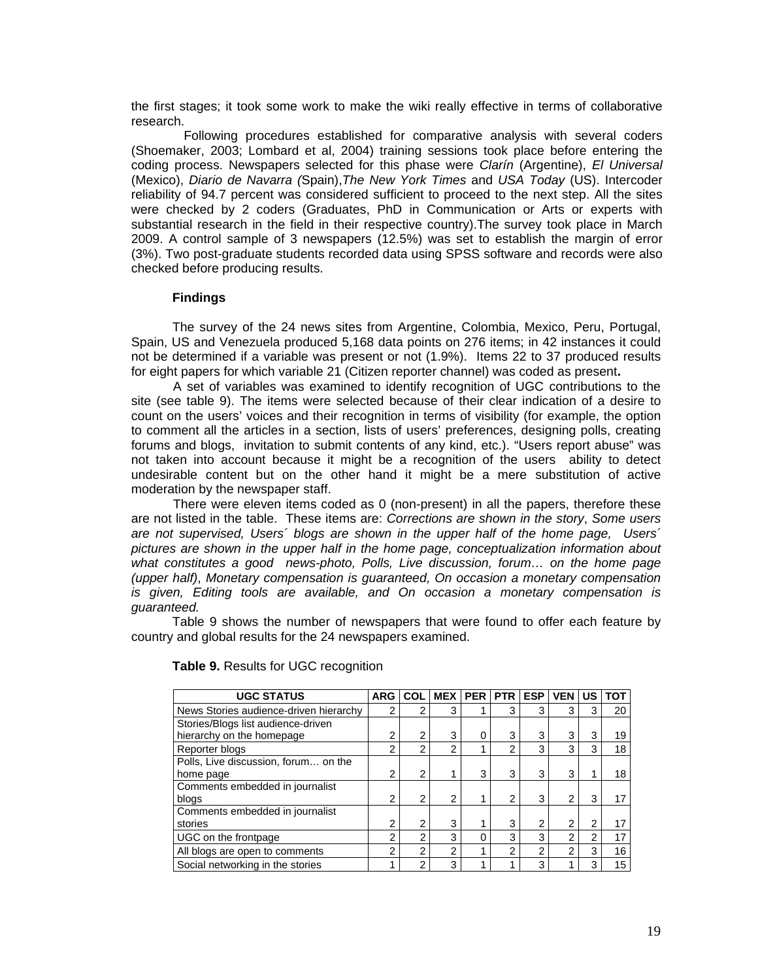the first stages; it took some work to make the wiki really effective in terms of collaborative research.

Following procedures established for comparative analysis with several coders (Shoemaker, 2003; Lombard et al, 2004) training sessions took place before entering the coding process. Newspapers selected for this phase were *Clarín* (Argentine), *El Universal* (Mexico), *Diario de Navarra (*Spain),*The New York Times* and *USA Today* (US). Intercoder reliability of 94.7 percent was considered sufficient to proceed to the next step. All the sites were checked by 2 coders (Graduates, PhD in Communication or Arts or experts with substantial research in the field in their respective country).The survey took place in March 2009. A control sample of 3 newspapers (12.5%) was set to establish the margin of error (3%). Two post-graduate students recorded data using SPSS software and records were also checked before producing results.

#### **Findings**

 The survey of the 24 news sites from Argentine, Colombia, Mexico, Peru, Portugal, Spain, US and Venezuela produced 5,168 data points on 276 items; in 42 instances it could not be determined if a variable was present or not (1.9%). Items 22 to 37 produced results for eight papers for which variable 21 (Citizen reporter channel) was coded as present**.** 

A set of variables was examined to identify recognition of UGC contributions to the site (see table 9). The items were selected because of their clear indication of a desire to count on the users' voices and their recognition in terms of visibility (for example, the option to comment all the articles in a section, lists of users' preferences, designing polls, creating forums and blogs, invitation to submit contents of any kind, etc.). "Users report abuse" was not taken into account because it might be a recognition of the users ability to detect undesirable content but on the other hand it might be a mere substitution of active moderation by the newspaper staff.

There were eleven items coded as 0 (non-present) in all the papers, therefore these are not listed in the table. These items are: *Corrections are shown in the story*, *Some users are not supervised, Users´ blogs are shown in the upper half of the home page, Users´ pictures are shown in the upper half in the home page, conceptualization information about what constitutes a good news-photo, Polls, Live discussion, forum… on the home page (upper half)*, *Monetary compensation is guaranteed, On occasion a monetary compensation is given, Editing tools are available, and On occasion a monetary compensation is guaranteed.* 

Table 9 shows the number of newspapers that were found to offer each feature by country and global results for the 24 newspapers examined.

| <b>UGC STATUS</b>                      | <b>ARG</b>     | <b>COL</b> | <b>MEX</b> | PER I |                | <b>PTR ESP</b> | <b>VEN</b> | l us | <b>TOT</b> |
|----------------------------------------|----------------|------------|------------|-------|----------------|----------------|------------|------|------------|
| News Stories audience-driven hierarchy | 2              |            | 3          |       | 3              | 3              | 3          |      | 20         |
| Stories/Blogs list audience-driven     |                |            |            |       |                |                |            |      |            |
| hierarchy on the homepage              | $\overline{c}$ | 2          | 3          |       | 3              | 3              | 3          |      | 19         |
| Reporter blogs                         | $\overline{2}$ | 2          | 2          |       | $\mathfrak{p}$ | 3              | 3          | 3    | 18         |
| Polls, Live discussion, forum on the   |                |            |            |       |                |                |            |      |            |
| home page                              | 2              | 2          |            | 3     | 3              | 3              | 3          |      | 18         |
| Comments embedded in journalist        |                |            |            |       |                |                |            |      |            |
| blogs                                  | 2              | 2          | 2          |       | 2              | 3              | 2          |      |            |
| Comments embedded in journalist        |                |            |            |       |                |                |            |      |            |
| stories                                | 2              | 2          | 3          |       | 3              | 2              | 2          |      | 17         |
| UGC on the frontpage                   | 2              | 2          | 3          |       | 3              | 3              | 2          |      | 17         |
| All blogs are open to comments         | $\overline{2}$ | っ          | 2          |       | $\mathfrak{p}$ | $\overline{2}$ | っ          | 3    | 16         |
| Social networking in the stories       | 4              | ◠          | 3          |       |                | 3              |            |      | 15         |

# **Table 9.** Results for UGC recognition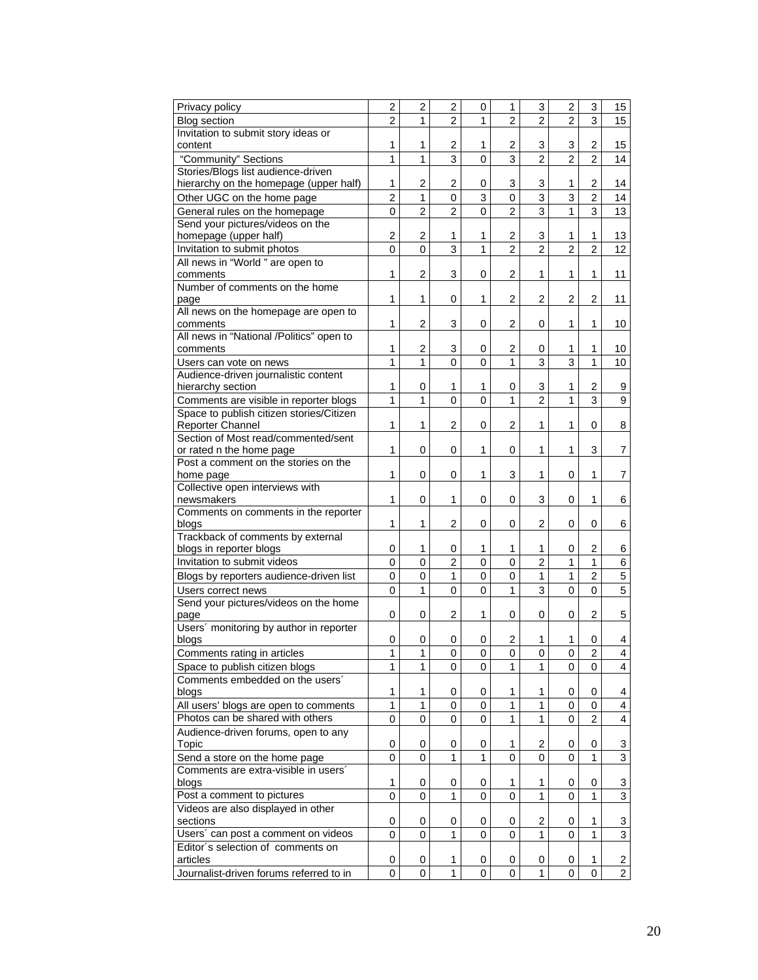| Privacy policy                                | 2              | 2              | 2              | 0              | 1              | 3                       | $\overline{c}$ | 3              | 15             |
|-----------------------------------------------|----------------|----------------|----------------|----------------|----------------|-------------------------|----------------|----------------|----------------|
| <b>Blog section</b>                           | 2              | 1              | 2              | 1              | $\overline{2}$ | 2                       | $\overline{2}$ | 3              | 15             |
| Invitation to submit story ideas or           |                |                |                |                |                |                         |                |                |                |
| content                                       | 1              | 1              | $\overline{2}$ | 1              | 2              | 3                       | 3              | $\overline{2}$ | 15             |
| "Community" Sections                          | 1              | 1              | 3              | $\overline{0}$ | 3              | $\overline{2}$          | $\overline{2}$ | $\overline{2}$ | 14             |
| Stories/Blogs list audience-driven            |                |                |                |                |                |                         |                |                |                |
| hierarchy on the homepage (upper half)        | 1              | 2              | 2              | 0              | 3              | 3                       | 1              | 2              | 14             |
| Other UGC on the home page                    | $\overline{c}$ | $\mathbf{1}$   | $\mathbf 0$    | 3              | $\overline{0}$ | 3                       | 3              | $\overline{2}$ | 14             |
| General rules on the homepage                 | 0              | $\overline{2}$ | $\overline{2}$ | 0              | $\overline{2}$ | 3                       | 1              | 3              | 13             |
| Send your pictures/videos on the              |                |                |                |                |                |                         |                |                |                |
| homepage (upper half)                         | $\overline{2}$ | 2              | 1              | 1              | $\overline{2}$ | 3                       | 1              | 1              | 13             |
| Invitation to submit photos                   | 0              | 0              | 3              | $\mathbf{1}$   | $\overline{2}$ | $\overline{2}$          | $\overline{2}$ | $\overline{2}$ | 12             |
| All news in "World" are open to               |                |                |                |                |                |                         |                |                |                |
| comments                                      | 1              | $\overline{2}$ | 3              | 0              | $\overline{2}$ | $\mathbf{1}$            | 1              | 1              | 11             |
| Number of comments on the home                |                |                |                |                |                |                         |                |                |                |
| page                                          | 1              | 1              | 0              | 1              | $\overline{2}$ | $\overline{\mathbf{c}}$ | $\overline{2}$ | 2              | 11             |
| All news on the homepage are open to          |                |                |                |                |                |                         |                |                |                |
| comments                                      | 1              | $\overline{2}$ | 3              | 0              | $\overline{c}$ | 0                       | 1              | 1              | 10             |
| All news in "National /Politics" open to      |                |                |                |                |                |                         |                |                |                |
| comments                                      | 1              | $\overline{2}$ | 3              | 0              | 2              | 0                       | 1              | 1              | 10             |
| Users can vote on news                        | $\mathbf{1}$   | $\mathbf{1}$   | $\Omega$       | 0              | $\mathbf{1}$   | 3                       | 3              | $\mathbf{1}$   | 10             |
| Audience-driven journalistic content          |                |                |                |                |                |                         |                |                |                |
| hierarchy section                             | 1              | 0              | 1              | 1              | 0              | 3                       | 1              | $\overline{2}$ | 9              |
| Comments are visible in reporter blogs        | 1              | $\mathbf{1}$   | $\overline{0}$ | $\overline{0}$ | 1              | $\overline{2}$          | $\mathbf{1}$   | 3              | 9              |
| Space to publish citizen stories/Citizen      |                |                |                |                |                |                         |                |                |                |
| <b>Reporter Channel</b>                       | 1              | 1              | $\overline{c}$ | 0              | $\overline{2}$ | $\mathbf{1}$            | 1              | 0              | 8              |
| Section of Most read/commented/sent           |                |                |                |                |                |                         |                |                |                |
| or rated n the home page                      | $\mathbf{1}$   | 0              | 0              | 1              | 0              | $\mathbf{1}$            | 1              | 3              | $\overline{7}$ |
| Post a comment on the stories on the          |                |                |                |                |                |                         |                |                |                |
| home page                                     | 1              | 0              | 0              | 1              | 3              | $\mathbf{1}$            | 0              | 1              | 7              |
| Collective open interviews with               | 1              | 0              | 1              | 0              | 0              | 3                       | 0              | 1              |                |
| newsmakers                                    |                |                |                |                |                |                         |                |                | 6              |
| Comments on comments in the reporter<br>blogs | 1              | 1              | $\overline{2}$ | 0              | 0              | $\overline{2}$          | 0              | 0              | 6              |
| Trackback of comments by external             |                |                |                |                |                |                         |                |                |                |
| blogs in reporter blogs                       | 0              | 1              | 0              | 1              | 1              | 1                       | 0              | $\overline{2}$ | 6              |
| Invitation to submit videos                   | $\mathbf 0$    | $\mathbf{0}$   | $\overline{2}$ | $\overline{0}$ | $\mathbf 0$    | $\overline{2}$          | 1              | 1              | 6              |
| Blogs by reporters audience-driven list       | $\mathbf 0$    | 0              | 1              | 0              | $\overline{0}$ | $\mathbf 1$             | 1              | $\overline{2}$ | 5              |
| Users correct news                            | $\Omega$       | $\mathbf{1}$   | 0              | $\overline{0}$ | 1              | 3                       | 0              | $\Omega$       | 5              |
| Send your pictures/videos on the home         |                |                |                |                |                |                         |                |                |                |
| page                                          | 0              | 0              | 2              | 1              | 0              | 0                       | 0              | $\overline{2}$ | 5              |
| Users' monitoring by author in reporter       |                |                |                |                |                |                         |                |                |                |
| blogs                                         | 0              | 0              | 0              | 0              | 2              | 1                       | 1              | 0              | 4              |
| Comments rating in articles                   | 1              | 1              | 0              | 0              | $\pmb{0}$      | 0                       | 0              | $\overline{c}$ | 4              |
| Space to publish citizen blogs                | 1              | 1              | 0              | 0              | $\mathbf{1}$   | 1                       | 0              | 0              | 4              |
| Comments embedded on the users'               |                |                |                |                |                |                         |                |                |                |
| blogs                                         | 1              | 1              | 0              | 0              | 1              | $\mathbf 1$             | 0              | 0              | 4              |
| All users' blogs are open to comments         | $\mathbf{1}$   | $\mathbf{1}$   | $\mathbf 0$    | 0              | $\mathbf{1}$   | $\mathbf{1}$            | 0              | 0              | 4              |
| Photos can be shared with others              | $\mathbf 0$    | $\overline{0}$ | $\mathbf 0$    | $\Omega$       | $\mathbf{1}$   | $\mathbf{1}$            | $\overline{0}$ | $\overline{2}$ | 4              |
| Audience-driven forums, open to any           |                |                |                |                |                |                         |                |                |                |
| Topic                                         | 0              | 0              | 0              | 0              | 1              | 2                       | 0              | 0              | 3              |
| Send a store on the home page                 | $\pmb{0}$      | 0              | 1              | $\mathbf{1}$   | 0              | 0                       | 0              | 1              | $\mathbf{3}$   |
| Comments are extra-visible in users'          |                |                |                |                |                |                         |                |                |                |
| blogs                                         | 1              | 0              | 0              | 0              | 1              | 1                       | 0              | 0              | 3              |
| Post a comment to pictures                    | 0              | 0              | 1              | 0              | 0              | $\mathbf{1}$            | 0              | 1              | 3              |
| Videos are also displayed in other            |                |                |                |                |                |                         |                |                |                |
| sections                                      | 0              | 0              | 0              | 0              | 0              | $\overline{\mathbf{c}}$ | 0              | 1              | 3              |
| Users' can post a comment on videos           | 0              | $\mathbf 0$    | 1              | $\mathbf 0$    | 0              | $\mathbf{1}$            | 0              | $\mathbf{1}$   | 3              |
| Editor's selection of comments on             |                |                |                |                |                |                         |                |                |                |
| articles                                      | 0              | 0              | 1              | 0              | 0              | 0                       | 0              | 1              | $\overline{2}$ |
| Journalist-driven forums referred to in       | 0              | 0              | 1              | 0              | 0              | 1                       | 0              | $\mathbf 0$    | $\overline{c}$ |
|                                               |                |                |                |                |                |                         |                |                |                |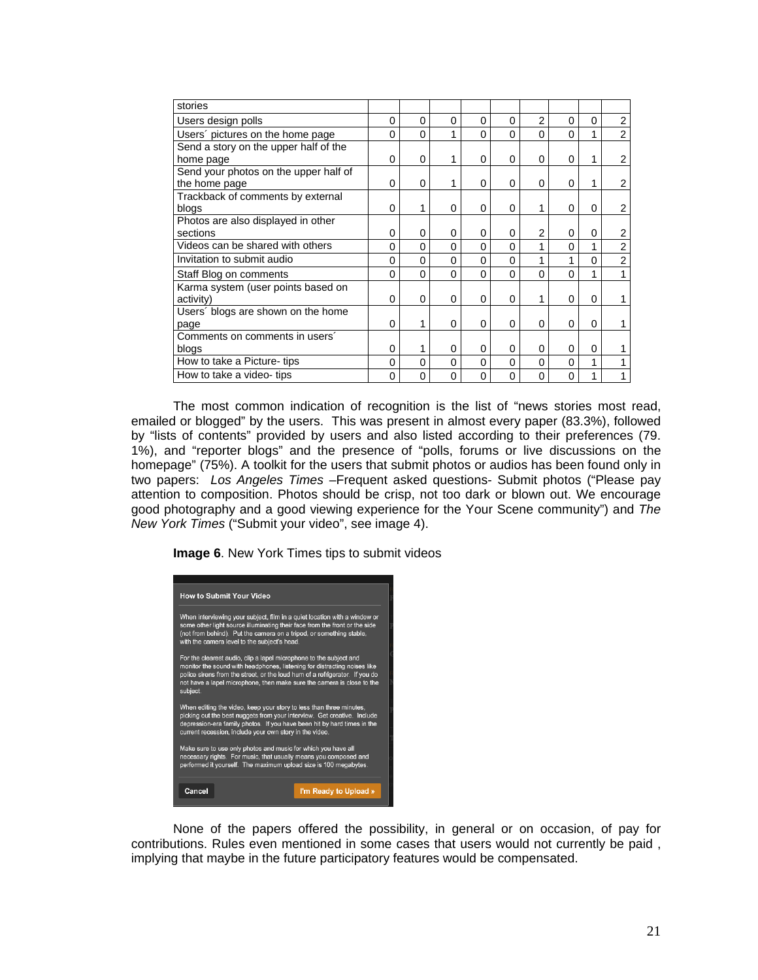| stories                               |          |          |          |          |          |                |   |              |                |
|---------------------------------------|----------|----------|----------|----------|----------|----------------|---|--------------|----------------|
| Users design polls                    | $\Omega$ | $\Omega$ | $\Omega$ | 0        | 0        | $\overline{2}$ | 0 | $\Omega$     | $\overline{2}$ |
| Users' pictures on the home page      | $\Omega$ | $\Omega$ | 1        | $\Omega$ | 0        | $\Omega$       | 0 |              | $\overline{2}$ |
| Send a story on the upper half of the |          |          |          |          |          |                |   |              |                |
| home page                             | 0        | $\Omega$ | 1        | 0        | 0        | $\Omega$       | 0 |              | 2              |
| Send your photos on the upper half of |          |          |          |          |          |                |   |              |                |
| the home page                         | $\Omega$ | $\Omega$ | 1        | 0        | 0        | 0              | 0 |              | $\overline{2}$ |
| Trackback of comments by external     |          |          |          |          |          |                |   |              |                |
| blogs                                 | 0        |          | 0        | 0        | 0        | 1              | 0 | 0            | $\overline{2}$ |
| Photos are also displayed in other    |          |          |          |          |          |                |   |              |                |
| sections                              | 0        | 0        | $\Omega$ | 0        | 0        | $\overline{2}$ | 0 | 0            | 2              |
| Videos can be shared with others      | 0        | $\Omega$ | $\Omega$ | 0        | 0        | 1              | 0 |              | $\overline{c}$ |
| Invitation to submit audio            | 0        | $\Omega$ | 0        | 0        | 0        | 1              | 1 | $\Omega$     | $\overline{2}$ |
| Staff Blog on comments                | 0        | $\Omega$ | $\Omega$ | $\Omega$ | 0        | $\Omega$       | U |              | $\mathbf{1}$   |
| Karma system (user points based on    |          |          |          |          |          |                |   |              |                |
| activity)                             | $\Omega$ | $\Omega$ | 0        | $\Omega$ | $\Omega$ | 1              | 0 | $\Omega$     |                |
| Users' blogs are shown on the home    |          |          |          |          |          |                |   |              |                |
| page                                  | $\Omega$ |          | $\Omega$ | 0        | 0        | $\Omega$       | 0 | <sup>0</sup> |                |
| Comments on comments in users'        |          |          |          |          |          |                |   |              |                |
| blogs                                 | $\Omega$ | 1        | 0        | 0        | 0        | $\Omega$       | 0 | 0            | 1              |
| How to take a Picture- tips           | 0        | $\Omega$ | $\Omega$ | 0        | 0        | $\Omega$       | 0 |              |                |
| How to take a video- tips             | 0        | $\Omega$ | $\Omega$ | $\Omega$ | 0        | $\Omega$       | 0 |              | 1              |

The most common indication of recognition is the list of "news stories most read, emailed or blogged" by the users. This was present in almost every paper (83.3%), followed by "lists of contents" provided by users and also listed according to their preferences (79. 1%), and "reporter blogs" and the presence of "polls, forums or live discussions on the homepage" (75%). A toolkit for the users that submit photos or audios has been found only in two papers: *Los Angeles Times* –Frequent asked questions- Submit photos ("Please pay attention to composition. Photos should be crisp, not too dark or blown out. We encourage good photography and a good viewing experience for the Your Scene community") and *The New York Times* ("Submit your video", see image 4).

**Image 6**. New York Times tips to submit videos



None of the papers offered the possibility, in general or on occasion, of pay for contributions. Rules even mentioned in some cases that users would not currently be paid , implying that maybe in the future participatory features would be compensated.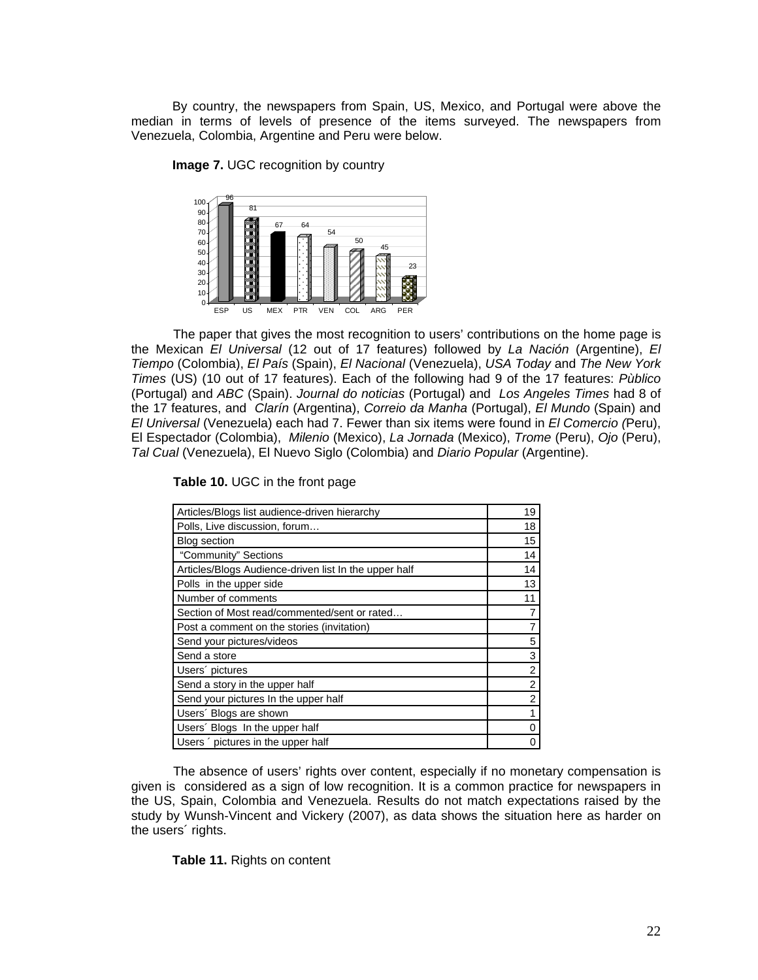By country, the newspapers from Spain, US, Mexico, and Portugal were above the median in terms of levels of presence of the items surveyed. The newspapers from Venezuela, Colombia, Argentine and Peru were below.



**Image 7. UGC recognition by country** 

The paper that gives the most recognition to users' contributions on the home page is the Mexican *El Universal* (12 out of 17 features) followed by *La Nación* (Argentine), *El Tiempo* (Colombia), *El País* (Spain), *El Nacional* (Venezuela), *USA Today* and *The New York Times* (US) (10 out of 17 features). Each of the following had 9 of the 17 features: *Pùblico* (Portugal) and *ABC* (Spain). *Journal do noticias* (Portugal) and *Los Angeles Times* had 8 of the 17 features, and *Clarín* (Argentina), *Correio da Manha* (Portugal), *El Mundo* (Spain) and *El Universal* (Venezuela) each had 7. Fewer than six items were found in *El Comercio (*Peru), El Espectador (Colombia), *Milenio* (Mexico), *La Jornada* (Mexico), *Trome* (Peru), *Ojo* (Peru), *Tal Cual* (Venezuela), El Nuevo Siglo (Colombia) and *Diario Popular* (Argentine).

| Articles/Blogs list audience-driven hierarchy         | 19             |
|-------------------------------------------------------|----------------|
| Polls, Live discussion, forum                         | 18             |
| <b>Blog section</b>                                   | 15             |
| "Community" Sections                                  | 14             |
| Articles/Blogs Audience-driven list In the upper half | 14             |
| Polls in the upper side                               | 13             |
| Number of comments                                    | 11             |
| Section of Most read/commented/sent or rated          | $\overline{7}$ |
| Post a comment on the stories (invitation)            | 7              |
| Send your pictures/videos                             | 5              |
| Send a store                                          | 3              |
| Users' pictures                                       | $\overline{2}$ |
| Send a story in the upper half                        | 2              |
| Send your pictures In the upper half                  | 2              |
| Users' Blogs are shown                                | 1              |
| Users' Blogs In the upper half                        | 0              |
| Users ' pictures in the upper half                    | 0              |

**Table 10.** UGC in the front page

The absence of users' rights over content, especially if no monetary compensation is given is considered as a sign of low recognition. It is a common practice for newspapers in the US, Spain, Colombia and Venezuela. Results do not match expectations raised by the study by Wunsh-Vincent and Vickery (2007), as data shows the situation here as harder on the users´ rights.

**Table 11.** Rights on content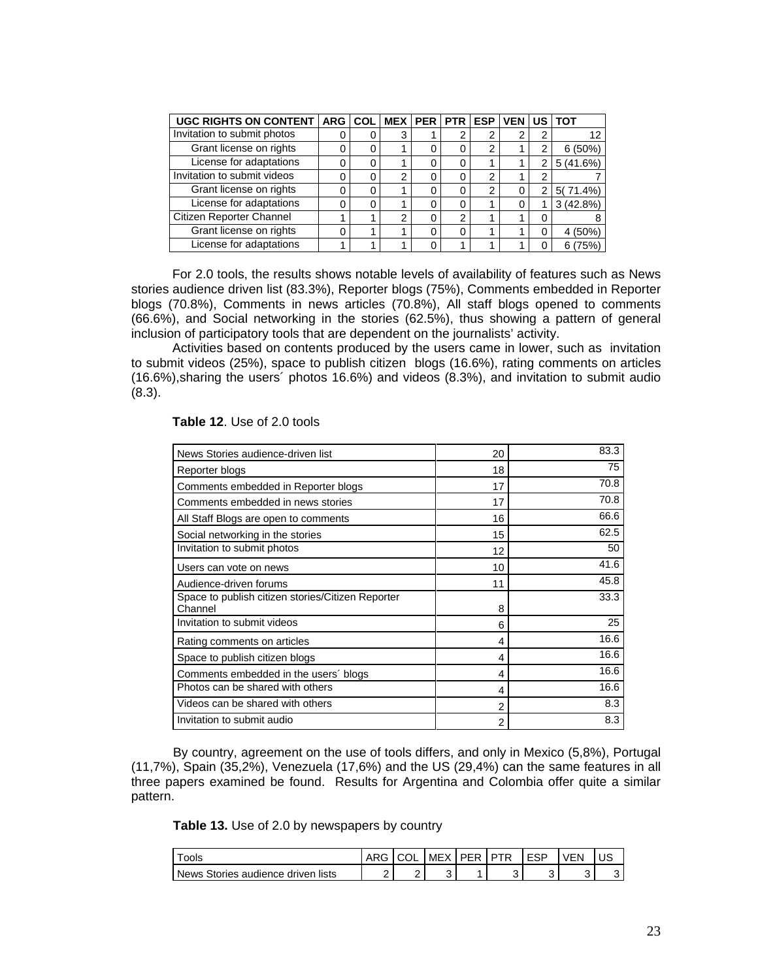| <b>UGC RIGHTS ON CONTENT</b> |   | ARG COL |   |   |   | MEX   PER   PTR   ESP   VEN   US   TOT |   |             |
|------------------------------|---|---------|---|---|---|----------------------------------------|---|-------------|
| Invitation to submit photos  |   |         | 3 | 2 |   | 2                                      | 2 |             |
| Grant license on rights      |   |         |   | 0 | າ |                                        | 2 | 6(50%)      |
| License for adaptations      |   |         |   | 0 |   |                                        | 2 | 5(41.6%)    |
| Invitation to submit videos  |   |         | 2 | 0 | っ |                                        | 2 |             |
| Grant license on rights      |   |         |   | 0 | າ | 0                                      | 2 | $5(71.4\%)$ |
| License for adaptations      | C |         |   | 0 |   |                                        |   | 3(42.8%)    |
| Citizen Reporter Channel     |   |         | 2 | 2 |   |                                        | 0 |             |
| Grant license on rights      |   |         |   | 0 |   |                                        | 0 | 4 (50%)     |
| License for adaptations      |   |         |   |   |   |                                        |   |             |

For 2.0 tools, the results shows notable levels of availability of features such as News stories audience driven list (83.3%), Reporter blogs (75%), Comments embedded in Reporter blogs (70.8%), Comments in news articles (70.8%), All staff blogs opened to comments (66.6%), and Social networking in the stories (62.5%), thus showing a pattern of general inclusion of participatory tools that are dependent on the journalists' activity.

Activities based on contents produced by the users came in lower, such as invitation to submit videos (25%), space to publish citizen blogs (16.6%), rating comments on articles (16.6%),sharing the users´ photos 16.6%) and videos (8.3%), and invitation to submit audio (8.3).

| News Stories audience-driven list                            | 20             | 83.3            |
|--------------------------------------------------------------|----------------|-----------------|
| Reporter blogs                                               | 18             | 75 <sup>1</sup> |
| Comments embedded in Reporter blogs                          | 17             | 70.8            |
| Comments embedded in news stories                            | 17             | 70.8            |
| All Staff Blogs are open to comments                         | 16             | 66.6            |
| Social networking in the stories                             | 15             | 62.5            |
| Invitation to submit photos                                  | 12             | 50              |
| Users can vote on news                                       | 10             | 41.6            |
| Audience-driven forums                                       | 11             | 45.8            |
| Space to publish citizen stories/Citizen Reporter<br>Channel | 8              | 33.3            |
| Invitation to submit videos                                  | 6              | 25              |
| Rating comments on articles                                  | 4              | 16.6            |
| Space to publish citizen blogs                               | 4              | 16.6            |
| Comments embedded in the users' blogs                        | 4              | 16.6            |
| Photos can be shared with others                             | 4              | 16.6            |
| Videos can be shared with others                             | 2              | 8.3             |
| Invitation to submit audio                                   | $\overline{2}$ | 8.3             |

**Table 12**. Use of 2.0 tools

By country, agreement on the use of tools differs, and only in Mexico (5,8%), Portugal (11,7%), Spain (35,2%), Venezuela (17,6%) and the US (29,4%) can the same features in all three papers examined be found. Results for Argentina and Colombia offer quite a similar pattern.

**Table 13.** Use of 2.0 by newspapers by country

| ools                                                |   |        | -<br>M⊢ | ⊐∟<br>- 1 | `TR<br>$\overline{\phantom{a}}$ | ECD<br>וט∟ | /FN    | $\sim$ |
|-----------------------------------------------------|---|--------|---------|-----------|---------------------------------|------------|--------|--------|
| lists<br><b>News</b><br>Stories.<br>audience driven | - | ⌒<br>- | ∼       |           |                                 | ۰.         | ⌒<br>u |        |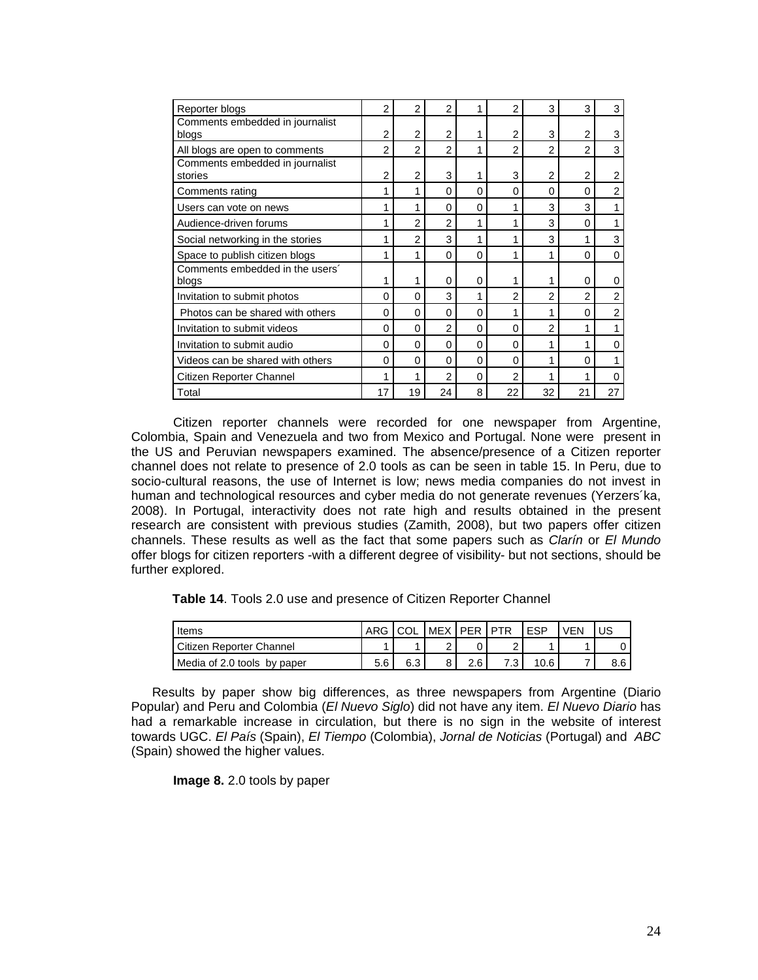| Reporter blogs                             | $\overline{2}$ | $\overline{2}$ | $\overline{2}$ |          | 2        | 3        | 3        | 3  |
|--------------------------------------------|----------------|----------------|----------------|----------|----------|----------|----------|----|
| Comments embedded in journalist<br>blogs   | $\overline{2}$ | 2              | 2              |          | 2        | 3        | 2        | 3  |
| All blogs are open to comments             | 2              | $\overline{2}$ | $\mathfrak{p}$ |          | 2        | 2        | 2        | 3  |
| Comments embedded in journalist<br>stories | $\overline{2}$ | $\overline{2}$ | 3              |          | 3        | 2        | 2        | 2  |
| Comments rating                            |                | 1              | $\Omega$       | $\Omega$ | 0        | $\Omega$ | 0        | 2  |
| Users can vote on news                     |                | 1              | 0              | $\Omega$ |          | 3        | 3        | 1  |
| Audience-driven forums                     |                | 2              | 2              |          |          | 3        | 0        | 1  |
| Social networking in the stories           |                | $\overline{2}$ | 3              |          |          | 3        |          | 3  |
| Space to publish citizen blogs             |                | 1              | $\Omega$       | 0        |          |          | 0        | 0  |
| Comments embedded in the users'<br>blogs   |                | 1              | $\Omega$       | 0        |          |          | $\Omega$ | 0  |
| Invitation to submit photos                | $\Omega$       | $\Omega$       | 3              |          | 2        | 2        | 2        | 2  |
| Photos can be shared with others           | $\Omega$       | $\Omega$       | $\Omega$       | $\Omega$ |          |          | 0        | 2  |
| Invitation to submit videos                | 0              | 0              | $\overline{2}$ | 0        | $\Omega$ | 2        |          | 1  |
| Invitation to submit audio                 | 0              | 0              | $\Omega$       | 0        | 0        |          | 1        | 0  |
| Videos can be shared with others           | $\Omega$       | $\Omega$       | $\Omega$       | $\Omega$ | $\Omega$ |          | 0        | 1  |
| Citizen Reporter Channel                   |                | 1              | 2              | $\Omega$ | 2        |          |          | 0  |
| Total                                      | 17             | 19             | 24             | 8        | 22       | 32       | 21       | 27 |

Citizen reporter channels were recorded for one newspaper from Argentine, Colombia, Spain and Venezuela and two from Mexico and Portugal. None were present in the US and Peruvian newspapers examined. The absence/presence of a Citizen reporter channel does not relate to presence of 2.0 tools as can be seen in table 15. In Peru, due to socio-cultural reasons, the use of Internet is low; news media companies do not invest in human and technological resources and cyber media do not generate revenues (Yerzers´ka, 2008). In Portugal, interactivity does not rate high and results obtained in the present research are consistent with previous studies (Zamith, 2008), but two papers offer citizen channels. These results as well as the fact that some papers such as *Clarín* or *El Mundo* offer blogs for citizen reporters -with a different degree of visibility- but not sections, should be further explored.

**Table 14**. Tools 2.0 use and presence of Citizen Reporter Channel

| Items                       | ARG COL |     | <b>MEX PER</b> |     | <b>I</b> PTR | ESP | <b>EN</b> |  |
|-----------------------------|---------|-----|----------------|-----|--------------|-----|-----------|--|
| Citizen Reporter Channel    |         |     |                |     |              |     |           |  |
| Media of 2.0 tools by paper | 5.6     | 6.3 |                | 2.6 |              |     |           |  |

Results by paper show big differences, as three newspapers from Argentine (Diario Popular) and Peru and Colombia (*El Nuevo Siglo*) did not have any item. *El Nuevo Diario* has had a remarkable increase in circulation, but there is no sign in the website of interest towards UGC. *El País* (Spain), *El Tiempo* (Colombia), *Jornal de Noticias* (Portugal) and *ABC*  (Spain) showed the higher values.

**Image 8.** 2.0 tools by paper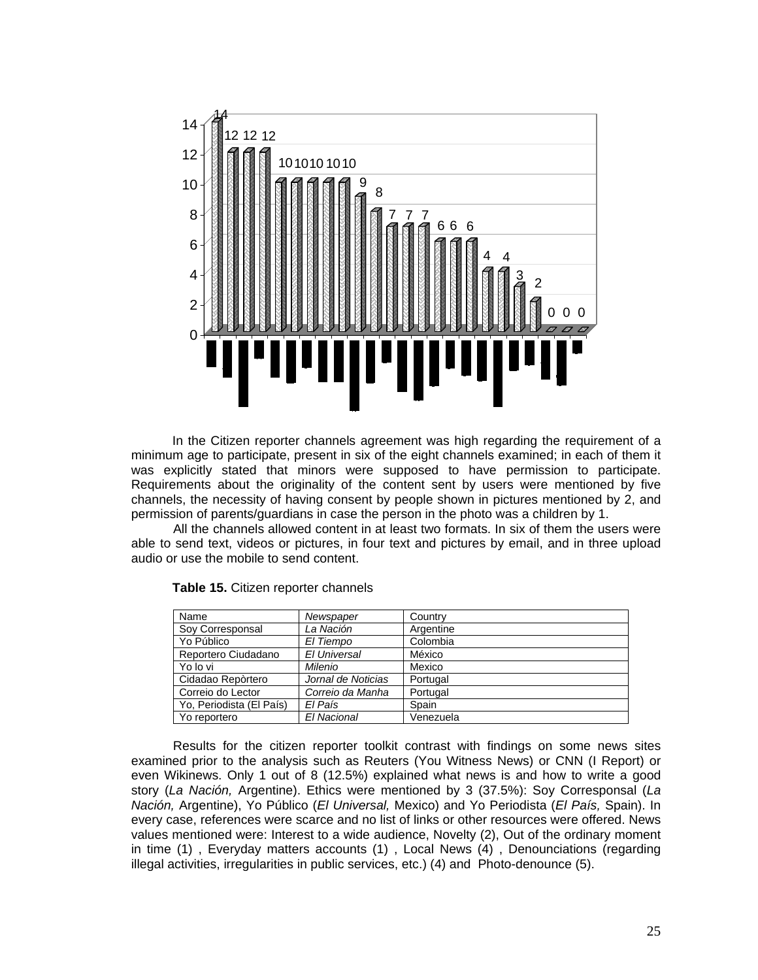

In the Citizen reporter channels agreement was high regarding the requirement of a minimum age to participate, present in six of the eight channels examined; in each of them it was explicitly stated that minors were supposed to have permission to participate. Requirements about the originality of the content sent by users were mentioned by five channels, the necessity of having consent by people shown in pictures mentioned by 2, and permission of parents/guardians in case the person in the photo was a children by 1.

All the channels allowed content in at least two formats. In six of them the users were able to send text, videos or pictures, in four text and pictures by email, and in three upload audio or use the mobile to send content.

| Name                     | Newspaper          | Country   |
|--------------------------|--------------------|-----------|
| Soy Corresponsal         | La Nación          | Argentine |
| Yo Público               | El Tiempo          | Colombia  |
| Reportero Ciudadano      | El Universal       | México    |
| Yo lo vi                 | Milenio            | Mexico    |
| Cidadao Repòrtero        | Jornal de Noticias | Portugal  |
| Correio do Lector        | Correio da Manha   | Portugal  |
| Yo, Periodista (El País) | El País            | Spain     |
| Yo reportero             | El Nacional        | Venezuela |

**Table 15.** Citizen reporter channels

Results for the citizen reporter toolkit contrast with findings on some news sites examined prior to the analysis such as Reuters (You Witness News) or CNN (I Report) or even Wikinews. Only 1 out of 8 (12.5%) explained what news is and how to write a good story (*La Nación,* Argentine). Ethics were mentioned by 3 (37.5%): Soy Corresponsal (*La Nación,* Argentine), Yo Público (*El Universal,* Mexico) and Yo Periodista (*El País,* Spain). In every case, references were scarce and no list of links or other resources were offered. News values mentioned were: Interest to a wide audience, Novelty (2), Out of the ordinary moment in time (1) , Everyday matters accounts (1) , Local News (4) , Denounciations (regarding illegal activities, irregularities in public services, etc.) (4) and Photo-denounce (5).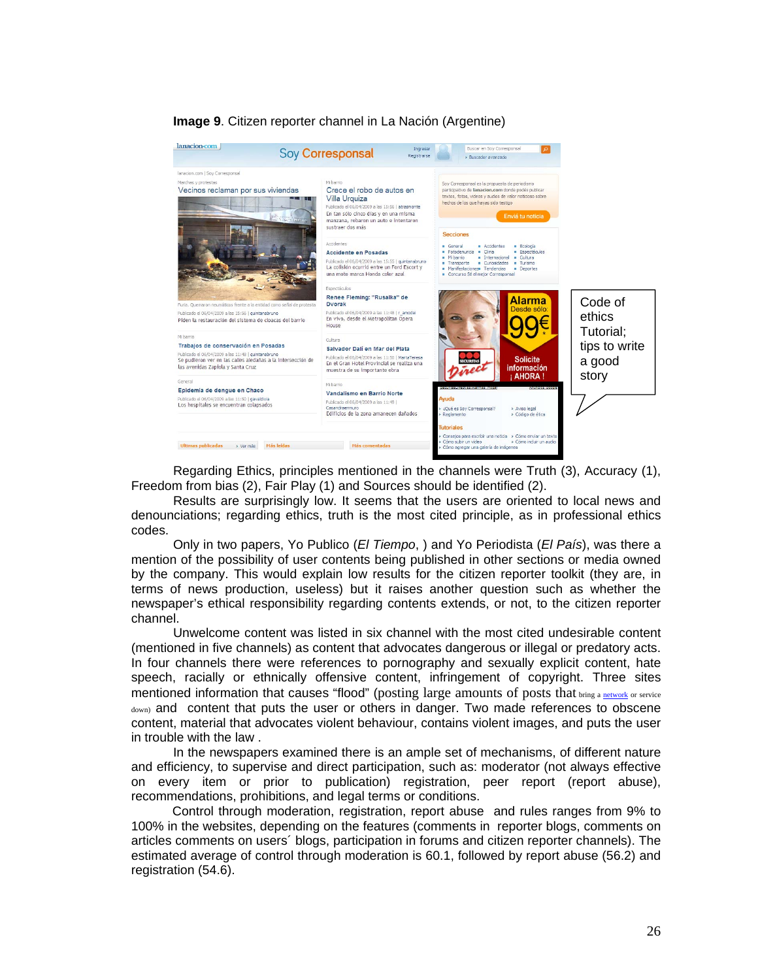

# **Image 9**. Citizen reporter channel in La Nación (Argentine)

Regarding Ethics, principles mentioned in the channels were Truth (3), Accuracy (1), Freedom from bias (2), Fair Play (1) and Sources should be identified (2).

Results are surprisingly low. It seems that the users are oriented to local news and denounciations; regarding ethics, truth is the most cited principle, as in professional ethics codes.

Only in two papers, Yo Publico (*El Tiempo*, ) and Yo Periodista (*El País*), was there a mention of the possibility of user contents being published in other sections or media owned by the company. This would explain low results for the citizen reporter toolkit (they are, in terms of news production, useless) but it raises another question such as whether the newspaper's ethical responsibility regarding contents extends, or not, to the citizen reporter channel.

Unwelcome content was listed in six channel with the most cited undesirable content (mentioned in five channels) as content that advocates dangerous or illegal or predatory acts. In four channels there were references to pornography and sexually explicit content, hate speech, racially or ethnically offensive content, infringement of copyright. Three sites mentioned information that causes "flood" (posting large amounts of posts that bring a network or service down) and content that puts the user or others in danger. Two made references to obscene content, material that advocates violent behaviour, contains violent images, and puts the user in trouble with the law .

In the newspapers examined there is an ample set of mechanisms, of different nature and efficiency, to supervise and direct participation, such as: moderator (not always effective on every item or prior to publication) registration, peer report (report abuse), recommendations, prohibitions, and legal terms or conditions.

Control through moderation, registration, report abuse and rules ranges from 9% to 100% in the websites, depending on the features (comments in reporter blogs, comments on articles comments on users´ blogs, participation in forums and citizen reporter channels). The estimated average of control through moderation is 60.1, followed by report abuse (56.2) and registration (54.6).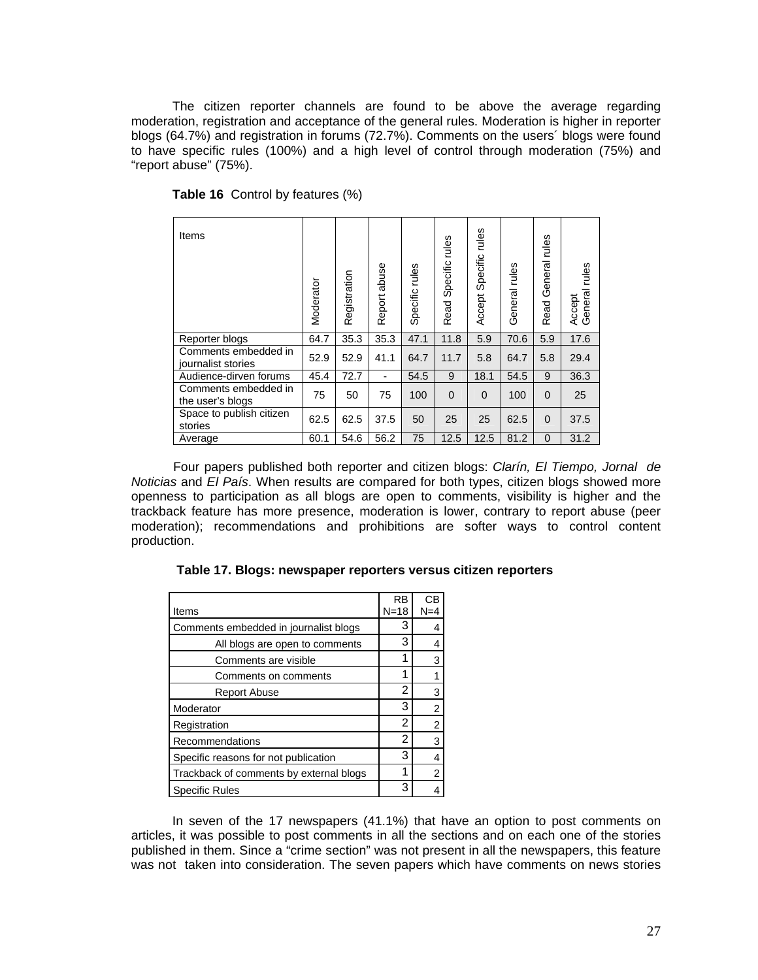The citizen reporter channels are found to be above the average regarding moderation, registration and acceptance of the general rules. Moderation is higher in reporter blogs (64.7%) and registration in forums (72.7%). Comments on the users´ blogs were found to have specific rules (100%) and a high level of control through moderation (75%) and "report abuse" (75%).

| Items                                      | Moderator | Registration | Report abuse | Specific rules | Specific rules<br>Read | Accept Specific rules | General rules | rules<br>General<br>Read | Accept<br>General rules |
|--------------------------------------------|-----------|--------------|--------------|----------------|------------------------|-----------------------|---------------|--------------------------|-------------------------|
| Reporter blogs                             | 64.7      | 35.3         | 35.3         | 47.1           | 11.8                   | 5.9                   | 70.6          | 5.9                      | 17.6                    |
| Comments embedded in<br>journalist stories | 52.9      | 52.9         | 41.1         | 64.7           | 11.7                   | 5.8                   | 64.7          | 5.8                      | 29.4                    |
| Audience-dirven forums                     | 45.4      | 72.7         |              | 54.5           | 9                      | 18.1                  | 54.5          | 9                        | 36.3                    |
| Comments embedded in<br>the user's blogs   | 75        | 50           | 75           | 100            | $\Omega$               | $\mathbf 0$           | 100           | $\overline{0}$           | 25                      |
| Space to publish citizen<br>stories        | 62.5      | 62.5         | 37.5         | 50             | 25                     | 25                    | 62.5          | $\overline{0}$           | 37.5                    |
| Average                                    | 60.1      | 54.6         | 56.2         | 75             | 12.5                   | 12.5                  | 81.2          | $\mathbf 0$              | 31.2                    |

**Table 16** Control by features (%)

Four papers published both reporter and citizen blogs: *Clarín, El Tiempo, Jornal de Noticias* and *El País*. When results are compared for both types, citizen blogs showed more openness to participation as all blogs are open to comments, visibility is higher and the trackback feature has more presence, moderation is lower, contrary to report abuse (peer moderation); recommendations and prohibitions are softer ways to control content production.

|                                         | <b>RB</b> | CВ             |
|-----------------------------------------|-----------|----------------|
| Items                                   | $N=18$    | $N = 4$        |
| Comments embedded in journalist blogs   | 3         | 4              |
| All blogs are open to comments          | 3         | 4              |
| Comments are visible                    | 1         | 3              |
| Comments on comments                    | 1         |                |
| Report Abuse                            | 2         | 3              |
| Moderator                               | 3         | 2              |
| Registration                            | 2         | 2              |
| Recommendations                         | 2         | 3              |
| Specific reasons for not publication    | 3         | 4              |
| Trackback of comments by external blogs | 1         | $\overline{2}$ |
| <b>Specific Rules</b>                   | 3         |                |

|  |  | Table 17. Blogs: newspaper reporters versus citizen reporters |  |  |  |  |
|--|--|---------------------------------------------------------------|--|--|--|--|
|--|--|---------------------------------------------------------------|--|--|--|--|

In seven of the 17 newspapers (41.1%) that have an option to post comments on articles, it was possible to post comments in all the sections and on each one of the stories published in them. Since a "crime section" was not present in all the newspapers, this feature was not taken into consideration. The seven papers which have comments on news stories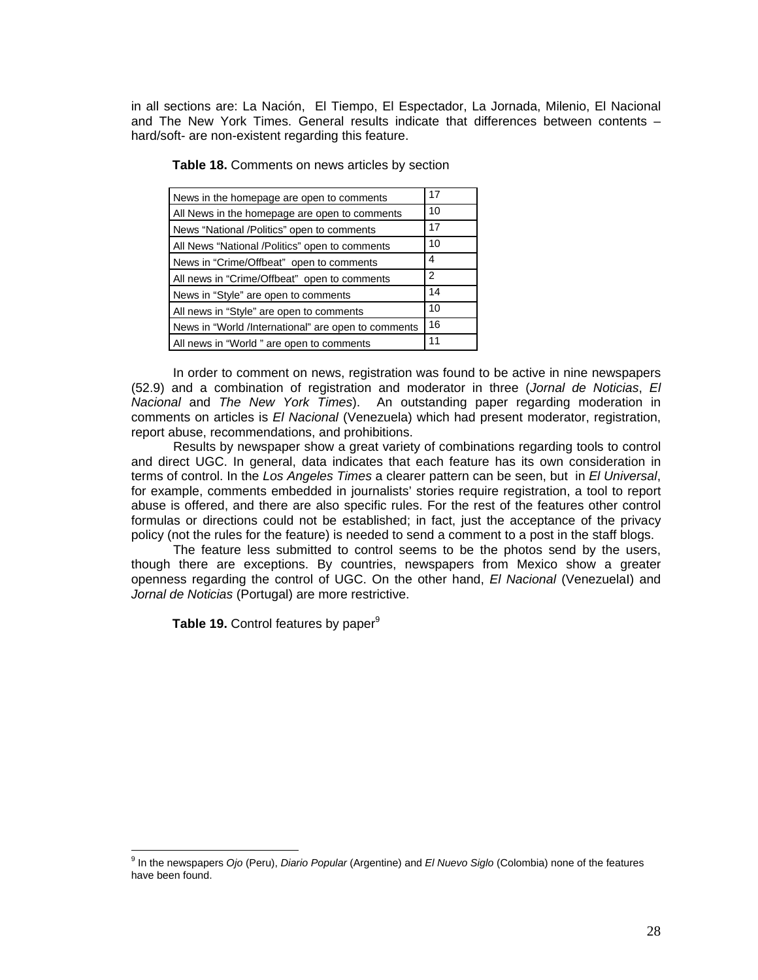in all sections are: La Nación, El Tiempo, El Espectador, La Jornada, Milenio, El Nacional and The New York Times. General results indicate that differences between contents – hard/soft- are non-existent regarding this feature.

| News in the homepage are open to comments           | 17 |
|-----------------------------------------------------|----|
| All News in the homepage are open to comments       | 10 |
| News "National /Politics" open to comments          | 17 |
| All News "National /Politics" open to comments      | 10 |
| News in "Crime/Offbeat" open to comments            | 4  |
| All news in "Crime/Offbeat" open to comments        | 2  |
| News in "Style" are open to comments                | 14 |
| All news in "Style" are open to comments            | 10 |
| News in "World /International" are open to comments | 16 |
| All news in "World" are open to comments            | 11 |

**Table 18.** Comments on news articles by section

In order to comment on news, registration was found to be active in nine newspapers (52.9) and a combination of registration and moderator in three (*Jornal de Noticias*, *El Nacional* and *The New York Times*). An outstanding paper regarding moderation in comments on articles is *El Nacional* (Venezuela) which had present moderator, registration, report abuse, recommendations, and prohibitions.

Results by newspaper show a great variety of combinations regarding tools to control and direct UGC. In general, data indicates that each feature has its own consideration in terms of control. In the *Los Angeles Times* a clearer pattern can be seen, but in *El Universal*, for example, comments embedded in journalists' stories require registration, a tool to report abuse is offered, and there are also specific rules. For the rest of the features other control formulas or directions could not be established; in fact, just the acceptance of the privacy policy (not the rules for the feature) is needed to send a comment to a post in the staff blogs.

The feature less submitted to control seems to be the photos send by the users, though there are exceptions. By countries, newspapers from Mexico show a greater openness regarding the control of UGC. On the other hand, *El Nacional* (VenezuelaI) and *Jornal de Noticias* (Portugal) are more restrictive.

**Table 19.** Control features by paper<sup>9</sup>

 9 In the newspapers *Ojo* (Peru), *Diario Popular* (Argentine) and *El Nuevo Siglo* (Colombia) none of the features have been found.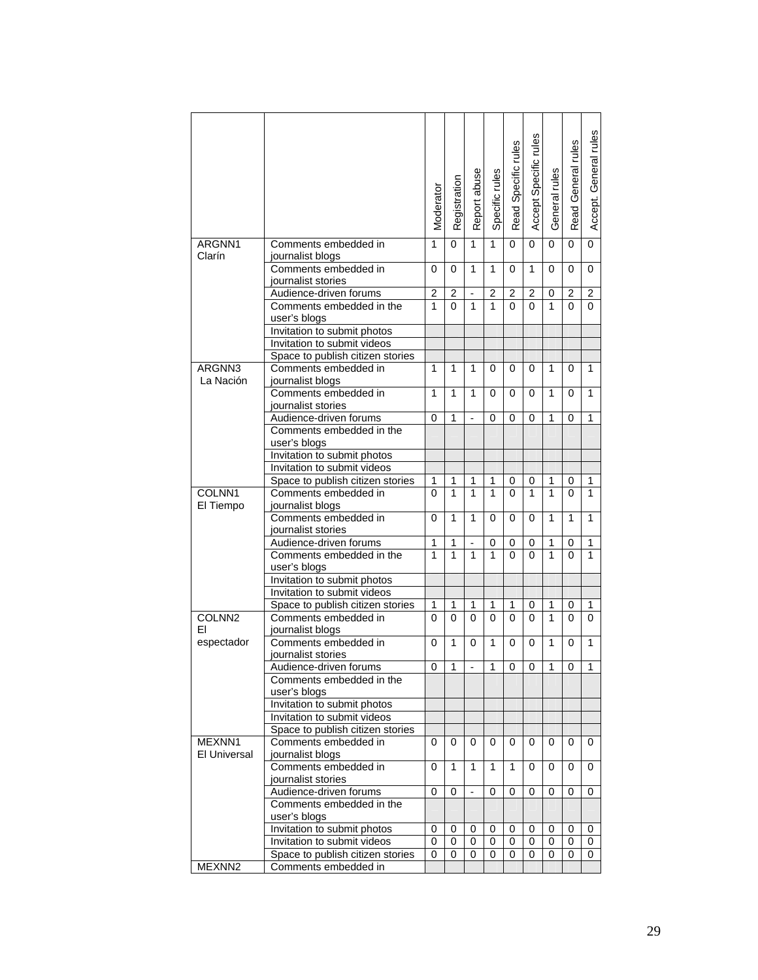|                     |                                                    | Moderator | Registration | Report abuse             | Specific rules | Read Specific rules | Accept Specific rules | General rules | Read General rules | Accept. General rules |
|---------------------|----------------------------------------------------|-----------|--------------|--------------------------|----------------|---------------------|-----------------------|---------------|--------------------|-----------------------|
| ARGNN1              | Comments embedded in                               | 1         | 0            | 1                        | 1              | $\Omega$            | 0                     | 0             | 0                  | 0                     |
| Clarín              | journalist blogs<br>Comments embedded in           | 0         | 0            | 1                        | 1              | $\Omega$            | 1                     | $\Omega$      | 0                  | $\Omega$              |
|                     | iournalist stories                                 |           |              |                          |                |                     |                       |               |                    |                       |
|                     | Audience-driven forums                             | 2         | 2            |                          | 2              | $\overline{2}$      | 2                     | 0             | 2                  | $\overline{2}$        |
|                     | Comments embedded in the                           | 1         | 0            | 1                        | 1              | $\Omega$            | $\mathbf{0}$          | 1             | 0                  | 0                     |
|                     | user's blogs                                       |           |              |                          |                |                     |                       |               |                    |                       |
|                     | Invitation to submit photos                        |           |              |                          |                |                     |                       |               |                    |                       |
|                     | Invitation to submit videos                        |           |              |                          |                |                     |                       |               |                    |                       |
|                     | Space to publish citizen stories                   |           |              |                          |                |                     |                       |               |                    |                       |
| ARGNN3<br>La Nación | Comments embedded in<br>journalist blogs           | 1         | 1            | 1                        | 0              | 0                   | 0                     | 1             | 0                  | 1                     |
|                     | Comments embedded in                               | 1         | 1            | 1                        | 0              | 0                   | 0                     | 1             | 0                  | 1                     |
|                     | journalist stories                                 |           |              |                          |                |                     |                       |               |                    |                       |
|                     | Audience-driven forums                             | 0         | 1            | $\overline{a}$           | 0              | 0                   | 0                     | 1             | 0                  | $\mathbf{1}$          |
|                     | Comments embedded in the                           |           |              |                          |                |                     |                       |               |                    |                       |
|                     | user's blogs                                       |           |              |                          |                |                     |                       |               |                    |                       |
|                     | Invitation to submit photos                        |           |              |                          |                |                     |                       |               |                    |                       |
|                     | Invitation to submit videos                        |           |              |                          |                |                     |                       |               |                    |                       |
|                     | Space to publish citizen stories                   | 1         | 1            | 1                        | 1              | 0                   | 0                     | 1             | 0                  | 1                     |
| COLNN1              | Comments embedded in                               | 0         | 1            | 1                        | 1              | 0                   | 1                     | 1             | 0                  | 1                     |
| El Tiempo           | journalist blogs                                   |           |              |                          |                |                     |                       |               |                    |                       |
|                     | Comments embedded in                               | 0         | 1            | 1                        | 0              | 0                   | $\Omega$              | 1             | 1                  | 1                     |
|                     | journalist stories<br>Audience-driven forums       | 1         | 1            | $\overline{\phantom{a}}$ | 0              | 0                   | 0                     | 1             | 0                  | 1                     |
|                     | Comments embedded in the                           | 1         | 1            | 1                        | 1              | 0                   | $\Omega$              | 1             | 0                  | 1                     |
|                     | user's blogs                                       |           |              |                          |                |                     |                       |               |                    |                       |
|                     | Invitation to submit photos                        |           |              |                          |                |                     |                       |               |                    |                       |
|                     | Invitation to submit videos                        |           |              |                          |                |                     |                       |               |                    |                       |
|                     | Space to publish citizen stories                   | 1         | 1            | 1                        | 1              | 1                   | 0                     | 1             | 0                  | 1                     |
| COLNN <sub>2</sub>  | Comments embedded in                               | 0         | 0            | 0                        | $\Omega$       | $\Omega$            | $\mathbf{0}$          | 1             | 0                  | 0                     |
| EI.                 | journalist blogs                                   |           |              |                          |                |                     |                       |               |                    |                       |
| espectador          | Comments embedded in                               | 0         | 1            | 0                        | 1              | 0                   | 0                     | 1             | 0                  | 1                     |
|                     | journalist stories                                 |           |              |                          |                |                     |                       |               |                    |                       |
|                     | Audience-driven forums<br>Comments embedded in the | 0         | 1            |                          | 1              | 0                   | 0                     | 1             | 0                  | 1                     |
|                     | user's blogs                                       |           |              |                          |                |                     |                       |               |                    |                       |
|                     | Invitation to submit photos                        |           |              |                          |                |                     |                       |               |                    |                       |
|                     | Invitation to submit videos                        |           |              |                          |                |                     |                       |               |                    |                       |
|                     | Space to publish citizen stories                   |           |              |                          |                |                     |                       |               |                    |                       |
| MEXNN1              | Comments embedded in                               | 0         | 0            | 0                        | 0              | 0                   | 0                     | 0             | 0                  | 0                     |
| <b>El Universal</b> | journalist blogs                                   |           |              |                          |                |                     |                       |               |                    |                       |
|                     | Comments embedded in                               | 0         | 1            | 1                        | 1              | 1                   | 0                     | 0             | 0                  | 0                     |
|                     | journalist stories                                 |           |              |                          |                |                     |                       |               |                    |                       |
|                     | Audience-driven forums<br>Comments embedded in the | 0         | 0            | $\overline{\phantom{a}}$ | 0              | 0                   | 0                     | 0             | 0                  | 0                     |
|                     | user's blogs                                       |           |              |                          |                |                     |                       |               |                    |                       |
|                     | Invitation to submit photos                        | 0         | 0            | 0                        | 0              | 0                   | 0                     | 0             | 0                  | 0                     |
|                     | Invitation to submit videos                        | 0         | 0            | 0                        | 0              | 0                   | 0                     | 0             | 0                  | 0                     |
|                     | Space to publish citizen stories                   | 0         | 0            | 0                        | 0              | 0                   | 0                     | 0             | 0                  | 0                     |
| MEXNN <sub>2</sub>  | Comments embedded in                               |           |              |                          |                |                     |                       |               |                    |                       |
|                     |                                                    |           |              |                          |                |                     |                       |               |                    |                       |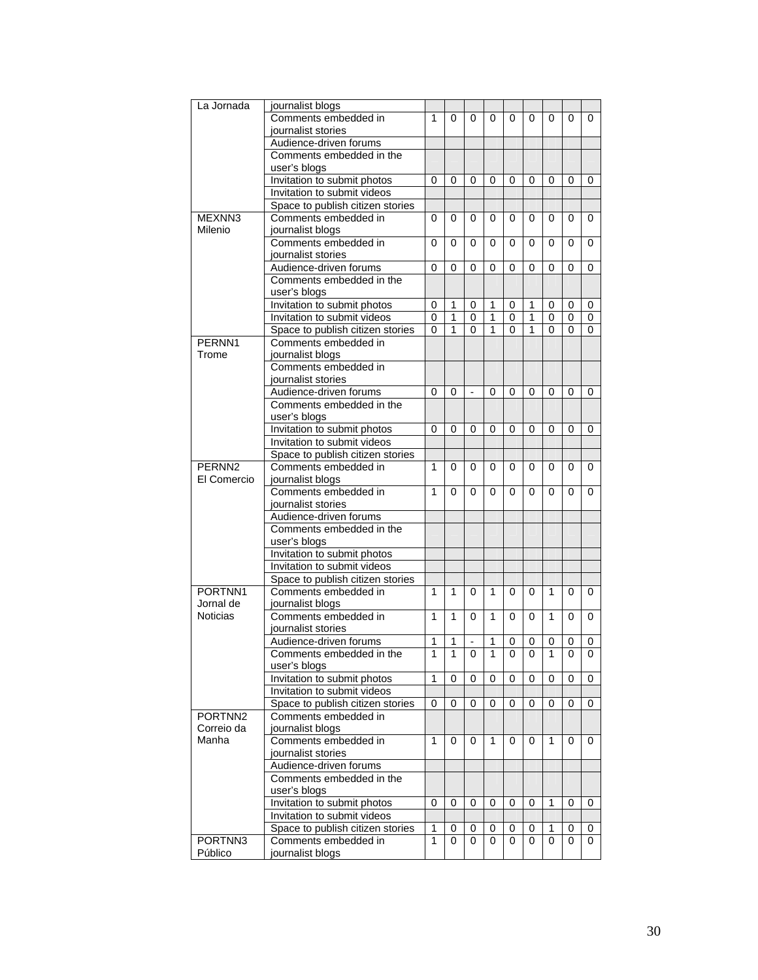| La Jornada         | journalist blogs                 |              |                |                              |                |           |              |          |   |             |
|--------------------|----------------------------------|--------------|----------------|------------------------------|----------------|-----------|--------------|----------|---|-------------|
|                    | Comments embedded in             | 1            | 0              | 0                            | 0              | 0         | 0            | 0        | 0 | 0           |
|                    | journalist stories               |              |                |                              |                |           |              |          |   |             |
|                    | Audience-driven forums           |              |                |                              |                |           |              |          |   |             |
|                    | Comments embedded in the         |              |                |                              |                |           |              |          |   |             |
|                    | user's blogs                     |              |                |                              |                |           |              |          |   |             |
|                    | Invitation to submit photos      | 0            | 0              | 0                            | 0              | 0         | 0            | 0        | 0 | 0           |
|                    | Invitation to submit videos      |              |                |                              |                |           |              |          |   |             |
|                    | Space to publish citizen stories |              |                |                              |                |           |              |          |   |             |
| MEXNN3             | Comments embedded in             | 0            | 0              | 0                            | 0              | 0         | 0            | 0        | 0 | 0           |
| Milenio            | journalist blogs                 |              |                |                              |                |           |              |          |   |             |
|                    | Comments embedded in             | 0            | 0              | $\Omega$                     | $\Omega$       | $\Omega$  | $\Omega$     | $\Omega$ | 0 | 0           |
|                    | journalist stories               |              |                |                              |                |           |              |          |   |             |
|                    | Audience-driven forums           | 0            | 0              | 0                            | 0              | 0         | 0            | 0        | 0 | 0           |
|                    | Comments embedded in the         |              |                |                              |                |           |              |          |   |             |
|                    | user's blogs                     |              |                |                              |                |           |              |          |   |             |
|                    | Invitation to submit photos      | 0            | 1              | 0                            | 1              | 0         | 1            | 0        | 0 | 0           |
|                    | Invitation to submit videos      | 0            | $\mathbf{1}$   | 0                            | 1              | 0         | $\mathbf{1}$ | 0        | 0 | 0           |
|                    | Space to publish citizen stories | 0            | 1              | $\Omega$                     | 1              | $\Omega$  | 1            | $\Omega$ | 0 | 0           |
| PERNN1             | Comments embedded in             |              |                |                              |                |           |              |          |   |             |
| Trome              | journalist blogs                 |              |                |                              |                |           |              |          |   |             |
|                    | Comments embedded in             |              |                |                              |                |           |              |          |   |             |
|                    | iournalist stories               |              |                |                              |                |           |              |          |   |             |
|                    |                                  |              |                | $\overline{a}$               |                |           |              |          |   |             |
|                    | Audience-driven forums           | 0            | 0              |                              | 0              | 0         | 0            | 0        | 0 | 0           |
|                    | Comments embedded in the         |              |                |                              |                |           |              |          |   |             |
|                    | user's blogs                     |              |                |                              |                |           |              |          |   |             |
|                    | Invitation to submit photos      | 0            | 0              | $\mathbf 0$                  | 0              | 0         | 0            | $\Omega$ | 0 | 0           |
|                    | Invitation to submit videos      |              |                |                              |                |           |              |          |   |             |
|                    | Space to publish citizen stories |              |                |                              |                |           |              |          |   |             |
| PERNN <sub>2</sub> | Comments embedded in             | 1            | 0              | 0                            | 0              | 0         | 0            | 0        | 0 | 0           |
| El Comercio        | journalist blogs                 |              |                |                              |                |           |              |          |   |             |
|                    | Comments embedded in             | 1            | 0              | 0                            | 0              | 0         | 0            | 0        | 0 | 0           |
|                    | journalist stories               |              |                |                              |                |           |              |          |   |             |
|                    | Audience-driven forums           |              |                |                              |                |           |              |          |   |             |
|                    | Comments embedded in the         |              |                |                              |                |           |              |          |   |             |
|                    | user's blogs                     |              |                |                              |                |           |              |          |   |             |
|                    | Invitation to submit photos      |              |                |                              |                |           |              |          |   |             |
|                    | Invitation to submit videos      |              |                |                              |                |           |              |          |   |             |
|                    | Space to publish citizen stories |              |                |                              |                |           |              |          |   |             |
| PORTNN1            | Comments embedded in             | 1            | 1              | 0                            | 1              | 0         | 0            | 1        | 0 | 0           |
| Jornal de          | journalist blogs                 |              |                |                              |                |           |              |          |   |             |
| Noticias           | Comments embedded in             | 1            | 1              | 0                            | 1              | $\Omega$  | 0            | 1        | 0 | 0           |
|                    | journalist stories               |              |                |                              |                |           |              |          |   |             |
|                    | Audience-driven forums           | 1            | 1              | $\qquad \qquad \blacksquare$ | 1              | 0         | 0            | 0        | 0 | 0           |
|                    | Comments embedded in the         | 1            | $\overline{1}$ | $\pmb{0}$                    | $\overline{1}$ | $\pmb{0}$ | $\mathbf 0$  | 1        | 0 | $\mathbf 0$ |
|                    | user's blogs                     |              |                |                              |                |           |              |          |   |             |
|                    | Invitation to submit photos      | 1            | 0              | 0                            | 0              | 0         | 0            | 0        | 0 | 0           |
|                    | Invitation to submit videos      |              |                |                              |                |           |              |          |   |             |
|                    | Space to publish citizen stories | 0            | 0              | 0                            | 0              | 0         | 0            | 0        | 0 | 0           |
|                    |                                  |              |                |                              |                |           |              |          |   |             |
| PORTNN2            | Comments embedded in             |              |                |                              |                |           |              |          |   |             |
| Correio da         | journalist blogs                 |              |                |                              |                |           |              |          |   |             |
| Manha              | Comments embedded in             | $\mathbf{1}$ | 0              | 0                            | 1              | 0         | 0            | 1        | 0 | 0           |
|                    | journalist stories               |              |                |                              |                |           |              |          |   |             |
|                    | Audience-driven forums           |              |                |                              |                |           |              |          |   |             |
|                    | Comments embedded in the         |              |                |                              |                |           |              |          |   |             |
|                    | user's blogs                     |              |                |                              |                |           |              |          |   |             |
|                    | Invitation to submit photos      | 0            | 0              | 0                            | 0              | 0         | 0            | 1        | 0 | 0           |
|                    | Invitation to submit videos      |              |                |                              |                |           |              |          |   |             |
|                    | Space to publish citizen stories | 1            | 0              | 0                            | 0              | 0         | 0            | 1        | 0 | 0           |
| PORTNN3            | Comments embedded in             | 1            | 0              | 0                            | 0              | 0         | 0            | 0        | 0 | 0           |
| Público            | journalist blogs                 |              |                |                              |                |           |              |          |   |             |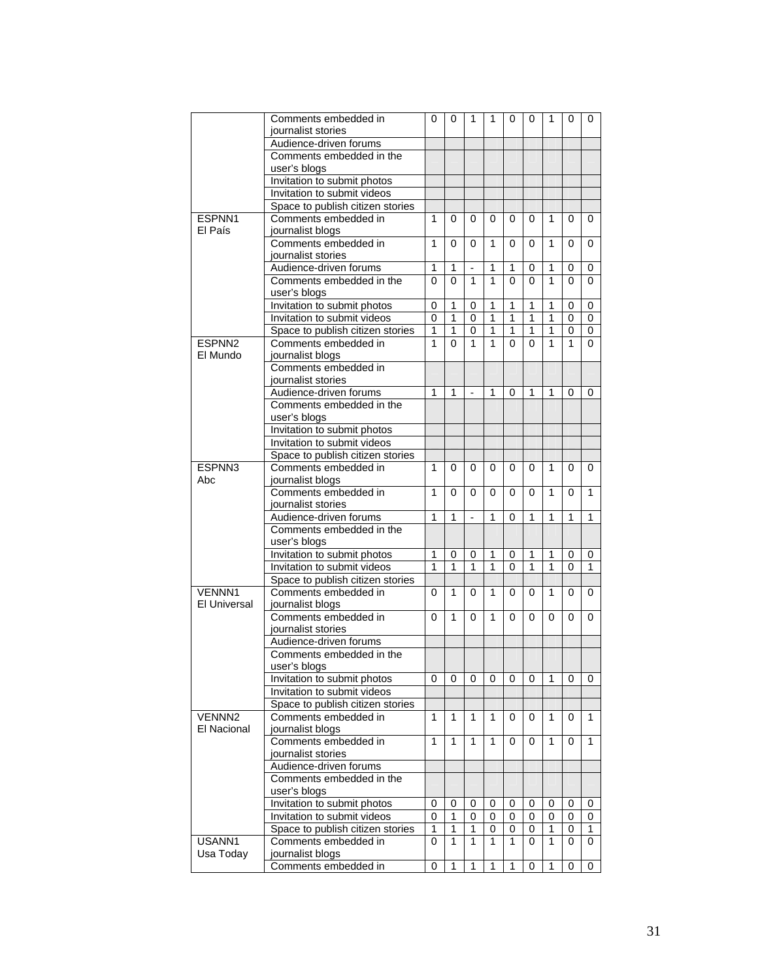|                     | Comments embedded in             | 0            | 0            | 1                        | 1            | 0            | 0            | 1            | 0 | 0            |
|---------------------|----------------------------------|--------------|--------------|--------------------------|--------------|--------------|--------------|--------------|---|--------------|
|                     | journalist stories               |              |              |                          |              |              |              |              |   |              |
|                     | Audience-driven forums           |              |              |                          |              |              |              |              |   |              |
|                     | Comments embedded in the         |              |              |                          |              |              |              |              |   |              |
|                     | user's blogs                     |              |              |                          |              |              |              |              |   |              |
|                     | Invitation to submit photos      |              |              |                          |              |              |              |              |   |              |
|                     | Invitation to submit videos      |              |              |                          |              |              |              |              |   |              |
|                     | Space to publish citizen stories |              |              |                          |              |              |              |              |   |              |
| ESPNN1              | Comments embedded in             | 1            | 0            | 0                        | 0            | 0            | 0            | 1            | 0 | 0            |
| El País             | journalist blogs                 |              |              |                          |              |              |              |              |   |              |
|                     | Comments embedded in             | 1            | $\Omega$     | $\Omega$                 | 1            | $\Omega$     | $\Omega$     | 1            | 0 | 0            |
|                     | journalist stories               |              |              |                          |              |              |              |              |   |              |
|                     |                                  |              |              |                          |              |              |              |              |   |              |
|                     | Audience-driven forums           | 1            | 1            |                          | 1            | 1            | 0            | 1<br>1       | 0 | 0            |
|                     | Comments embedded in the         | $\Omega$     | $\Omega$     | 1                        | 1            | $\Omega$     | $\Omega$     |              | 0 | 0            |
|                     | user's blogs                     |              |              |                          |              |              |              |              |   |              |
|                     | Invitation to submit photos      | 0            | 1            | 0                        | 1            | 1            | 1            | 1            | 0 | 0            |
|                     | Invitation to submit videos      | 0            | 1            | $\overline{0}$           | 1            | $\mathbf{1}$ | 1            | 1            | 0 | 0            |
|                     | Space to publish citizen stories | $\mathbf{1}$ | $\mathbf{1}$ | $\mathbf 0$              | $\mathbf{1}$ | $\mathbf{1}$ | $\mathbf{1}$ | $\mathbf{1}$ | 0 | 0            |
| ESPNN <sub>2</sub>  | Comments embedded in             | 1            | 0            | 1                        | 1            | 0            | $\Omega$     | $\mathbf{1}$ | 1 | 0            |
| El Mundo            | journalist blogs                 |              |              |                          |              |              |              |              |   |              |
|                     | Comments embedded in             |              |              |                          |              |              |              |              |   |              |
|                     | iournalist stories               |              |              |                          |              |              |              |              |   |              |
|                     | Audience-driven forums           | 1            | 1            | $\overline{\phantom{a}}$ | 1            | 0            | 1            | 1            | 0 | 0            |
|                     | Comments embedded in the         |              |              |                          |              |              |              |              |   |              |
|                     | user's blogs                     |              |              |                          |              |              |              |              |   |              |
|                     | Invitation to submit photos      |              |              |                          |              |              |              |              |   |              |
|                     | Invitation to submit videos      |              |              |                          |              |              |              |              |   |              |
|                     | Space to publish citizen stories |              |              |                          |              |              |              |              |   |              |
| ESPNN3              | Comments embedded in             | 1            | 0            | 0                        | $\Omega$     | $\Omega$     | 0            | 1            | 0 | 0            |
| Abc                 | journalist blogs                 |              |              |                          |              |              |              |              |   |              |
|                     | Comments embedded in             | 1            | 0            | $\Omega$                 | 0            | 0            | 0            | 1            | 0 | $\mathbf{1}$ |
|                     | journalist stories               |              |              |                          |              |              |              |              |   |              |
|                     | Audience-driven forums           | 1            | 1            | $\overline{a}$           | 1            | 0            | 1            | 1            | 1 | 1            |
|                     | Comments embedded in the         |              |              |                          |              |              |              |              |   |              |
|                     | user's blogs                     |              |              |                          |              |              |              |              |   |              |
|                     | Invitation to submit photos      | 1            | 0            | 0                        | 1            | 0            | $\mathbf{1}$ | 1            | 0 | 0            |
|                     | Invitation to submit videos      | 1            | 1            | 1                        | 1            | $\mathbf 0$  | 1            | $\mathbf{1}$ | 0 | $\mathbf{1}$ |
|                     |                                  |              |              |                          |              |              |              |              |   |              |
| <b>VENNN1</b>       | Space to publish citizen stories |              | 1            |                          |              |              |              |              |   |              |
|                     | Comments embedded in             | 0            |              | 0                        | 1            | 0            | 0            | 1            | 0 | 0            |
| <b>El Universal</b> | journalist blogs                 |              |              |                          |              |              |              |              |   |              |
|                     | Comments embedded in             | 0            | 1            | 0                        | 1            | 0            | 0            | 0            | 0 | 0            |
|                     | journalist stories               |              |              |                          |              |              |              |              |   |              |
|                     | Audience-driven forums           |              |              |                          |              |              |              |              |   |              |
|                     | Comments embedded in the         |              |              |                          |              |              |              |              |   |              |
|                     | user's blogs                     |              |              |                          |              |              |              |              |   |              |
|                     | Invitation to submit photos      | 0            | 0            | 0                        | 0            | 0            | 0            | 1            | 0 | 0            |
|                     | Invitation to submit videos      |              |              |                          |              |              |              |              |   |              |
|                     | Space to publish citizen stories |              |              |                          |              |              |              |              |   |              |
| VENNN2              | Comments embedded in             | $\mathbf{1}$ | 1            | $\mathbf{1}$             | 1            | 0            | 0            | 1            | 0 | $\mathbf{1}$ |
| El Nacional         | journalist blogs                 |              |              |                          |              |              |              |              |   |              |
|                     | Comments embedded in             | 1            | 1            | 1                        | 1            | 0            | 0            | 1            | 0 | $\mathbf{1}$ |
|                     | journalist stories               |              |              |                          |              |              |              |              |   |              |
|                     | Audience-driven forums           |              |              |                          |              |              |              |              |   |              |
|                     | Comments embedded in the         |              |              |                          |              |              |              |              |   |              |
|                     | user's blogs                     |              |              |                          |              |              |              |              |   |              |
|                     | Invitation to submit photos      | 0            | 0            | 0                        | 0            | 0            | 0            | 0            | 0 | 0            |
|                     | Invitation to submit videos      | 0            | 1            | 0                        | 0            | 0            | 0            | 0            | 0 | 0            |
|                     | Space to publish citizen stories | 1            | 1            | 1                        | 0            | 0            | 0            | 1            | 0 | 1            |
| USANN1              | Comments embedded in             | 0            | 1            | 1                        | $\mathbf{1}$ | $\mathbf{1}$ | 0            | 1            |   | 0            |
|                     |                                  |              |              |                          |              |              |              |              | 0 |              |
| Usa Today           | journalist blogs                 |              |              |                          |              |              |              |              |   |              |
|                     | Comments embedded in             | 0            | 1            | 1                        | 1            | 1            | 0            | 1            | 0 | 0            |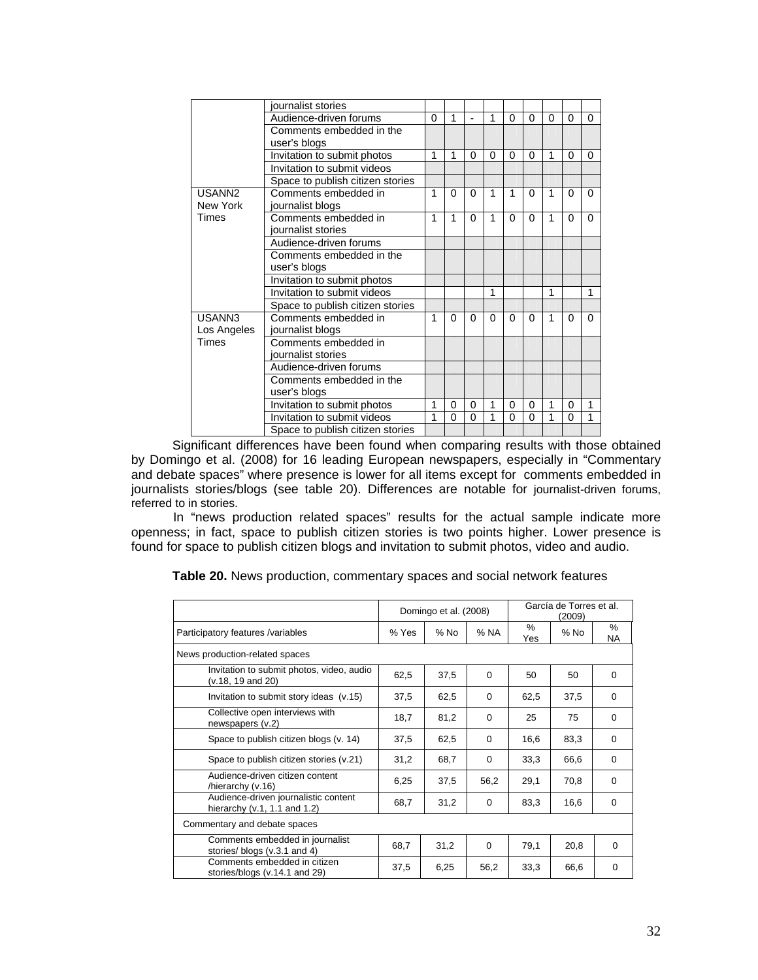|                    | iournalist stories               |          |   |          |          |          |          |          |          |              |
|--------------------|----------------------------------|----------|---|----------|----------|----------|----------|----------|----------|--------------|
|                    | Audience-driven forums           | $\Omega$ | 1 |          | 1        | $\Omega$ | $\Omega$ | $\Omega$ | $\Omega$ | $\Omega$     |
|                    | Comments embedded in the         |          |   |          |          |          |          |          |          |              |
|                    | user's blogs                     |          |   |          |          |          |          |          |          |              |
|                    | Invitation to submit photos      | 1        | 1 | $\Omega$ | $\Omega$ | $\Omega$ | $\Omega$ | 1        | $\Omega$ | 0            |
|                    | Invitation to submit videos      |          |   |          |          |          |          |          |          |              |
|                    | Space to publish citizen stories |          |   |          |          |          |          |          |          |              |
| USANN <sub>2</sub> | Comments embedded in             | 1        | 0 | 0        | 1        | 1        | $\Omega$ | 1        | $\Omega$ | 0            |
| New York           | journalist blogs                 |          |   |          |          |          |          |          |          |              |
| Times              | Comments embedded in             | 1        | 1 | 0        | 1        | $\Omega$ | $\Omega$ | 1        | 0        | 0            |
|                    | journalist stories               |          |   |          |          |          |          |          |          |              |
|                    | Audience-driven forums           |          |   |          |          |          |          |          |          |              |
|                    | Comments embedded in the         |          |   |          |          |          |          |          |          |              |
|                    | user's blogs                     |          |   |          |          |          |          |          |          |              |
|                    | Invitation to submit photos      |          |   |          |          |          |          |          |          |              |
|                    | Invitation to submit videos      |          |   |          | 1        |          |          | 1        |          | $\mathbf{1}$ |
|                    | Space to publish citizen stories |          |   |          |          |          |          |          |          |              |
| USANN <sub>3</sub> | Comments embedded in             | 1        | 0 | 0        | $\Omega$ | $\Omega$ | $\Omega$ | 1        | O        | 0            |
| Los Angeles        | journalist blogs                 |          |   |          |          |          |          |          |          |              |
| <b>Times</b>       | Comments embedded in             |          |   |          |          |          |          |          |          |              |
|                    | journalist stories               |          |   |          |          |          |          |          |          |              |
|                    | Audience-driven forums           |          |   |          |          |          |          |          |          |              |
|                    | Comments embedded in the         |          |   |          |          |          |          |          |          |              |
|                    | user's blogs                     |          |   |          |          |          |          |          |          |              |
|                    | Invitation to submit photos      | 1        | 0 | 0        | 1        | $\Omega$ | $\Omega$ | 1        | 0        | 1            |
|                    | Invitation to submit videos      | 1        | 0 | 0        | 1        | 0        | $\Omega$ | 1        | 0        | 1            |
|                    | Space to publish citizen stories |          |   |          |          |          |          |          |          |              |

Significant differences have been found when comparing results with those obtained by Domingo et al. (2008) for 16 leading European newspapers, especially in "Commentary and debate spaces" where presence is lower for all items except for comments embedded in journalists stories/blogs (see table 20). Differences are notable for journalist-driven forums, referred to in stories.

In "news production related spaces" results for the actual sample indicate more openness; in fact, space to publish citizen stories is two points higher. Lower presence is found for space to publish citizen blogs and invitation to submit photos, video and audio.

| Table 20. News production, commentary spaces and social network features |
|--------------------------------------------------------------------------|
|--------------------------------------------------------------------------|

|                                                                      | Domingo et al. (2008) |      |          | García de Torres et al.<br>(2009) |        |                |  |  |
|----------------------------------------------------------------------|-----------------------|------|----------|-----------------------------------|--------|----------------|--|--|
| Participatory features /variables                                    | % Yes                 | % No | % NA     | %<br>Yes                          | $%$ No | %<br><b>NA</b> |  |  |
| News production-related spaces                                       |                       |      |          |                                   |        |                |  |  |
| Invitation to submit photos, video, audio<br>(v.18, 19, and 20)      | 62,5                  | 37,5 | $\Omega$ | 50                                | 50     | $\Omega$       |  |  |
| Invitation to submit story ideas (v.15)                              | 37,5                  | 62,5 | $\Omega$ | 62,5                              | 37,5   | $\Omega$       |  |  |
| Collective open interviews with<br>newspapers (v.2)                  | 18,7                  | 81,2 | $\Omega$ | 25                                | 75     | 0              |  |  |
| Space to publish citizen blogs (v. 14)                               | 37,5                  | 62,5 | $\Omega$ | 16,6                              | 83,3   | $\Omega$       |  |  |
| Space to publish citizen stories (v.21)                              | 31,2                  | 68,7 | $\Omega$ | 33,3                              | 66,6   | $\Omega$       |  |  |
| Audience-driven citizen content<br>/hierarchy (v.16)                 | 6,25                  | 37,5 | 56,2     | 29,1                              | 70,8   | $\Omega$       |  |  |
| Audience-driven journalistic content<br>hierarchy (v.1, 1.1 and 1.2) | 68,7                  | 31,2 | $\Omega$ | 83,3                              | 16,6   | $\Omega$       |  |  |
| Commentary and debate spaces                                         |                       |      |          |                                   |        |                |  |  |
| Comments embedded in journalist<br>stories/blogs (v.3.1 and 4)       | 68,7                  | 31,2 | $\Omega$ | 79,1                              | 20,8   | $\Omega$       |  |  |
| Comments embedded in citizen<br>stories/blogs (v.14.1 and 29)        | 37,5                  | 6,25 | 56,2     | 33,3                              | 66,6   | $\Omega$       |  |  |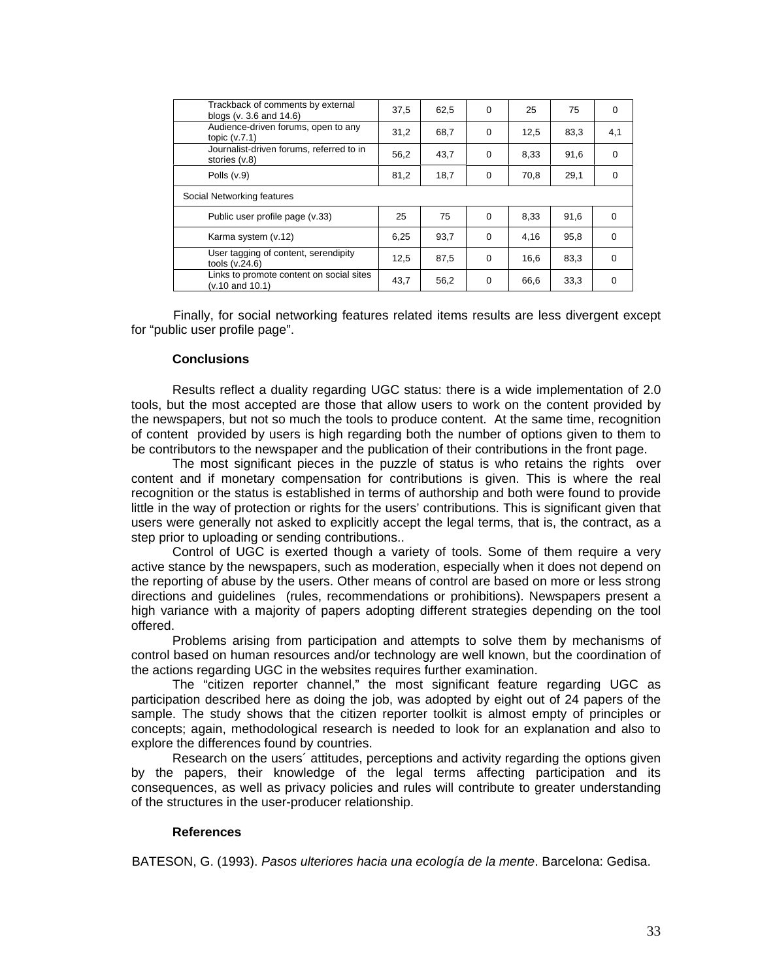| Trackback of comments by external<br>blogs (v. 3.6 and 14.6)    | 37,5 | 62,5 | $\Omega$ | 25   | 75   | 0        |  |  |
|-----------------------------------------------------------------|------|------|----------|------|------|----------|--|--|
| Audience-driven forums, open to any<br>topic $(v.7.1)$          | 31,2 | 68,7 | 0        | 12,5 | 83,3 | 4,1      |  |  |
| Journalist-driven forums, referred to in<br>stories (v.8)       | 56,2 | 43,7 | $\Omega$ | 8,33 | 91,6 | 0        |  |  |
| Polls $(v.9)$                                                   | 81,2 | 18,7 | $\Omega$ | 70,8 | 29,1 | $\Omega$ |  |  |
| Social Networking features                                      |      |      |          |      |      |          |  |  |
| Public user profile page (v.33)                                 | 25   | 75   | 0        | 8,33 | 91,6 | 0        |  |  |
| Karma system (v.12)                                             | 6,25 | 93,7 | $\Omega$ | 4,16 | 95,8 | $\Omega$ |  |  |
| User tagging of content, serendipity<br>tools $(v.24.6)$        | 12,5 | 87,5 | $\Omega$ | 16.6 | 83,3 | $\Omega$ |  |  |
| Links to promote content on social sites<br>$(v.10$ and $10.1)$ | 43,7 | 56,2 | $\Omega$ | 66,6 | 33,3 | $\Omega$ |  |  |

Finally, for social networking features related items results are less divergent except for "public user profile page".

#### **Conclusions**

Results reflect a duality regarding UGC status: there is a wide implementation of 2.0 tools, but the most accepted are those that allow users to work on the content provided by the newspapers, but not so much the tools to produce content. At the same time, recognition of content provided by users is high regarding both the number of options given to them to be contributors to the newspaper and the publication of their contributions in the front page.

The most significant pieces in the puzzle of status is who retains the rights over content and if monetary compensation for contributions is given. This is where the real recognition or the status is established in terms of authorship and both were found to provide little in the way of protection or rights for the users' contributions. This is significant given that users were generally not asked to explicitly accept the legal terms, that is, the contract, as a step prior to uploading or sending contributions..

Control of UGC is exerted though a variety of tools. Some of them require a very active stance by the newspapers, such as moderation, especially when it does not depend on the reporting of abuse by the users. Other means of control are based on more or less strong directions and guidelines (rules, recommendations or prohibitions). Newspapers present a high variance with a majority of papers adopting different strategies depending on the tool offered.

Problems arising from participation and attempts to solve them by mechanisms of control based on human resources and/or technology are well known, but the coordination of the actions regarding UGC in the websites requires further examination.

The "citizen reporter channel," the most significant feature regarding UGC as participation described here as doing the job, was adopted by eight out of 24 papers of the sample. The study shows that the citizen reporter toolkit is almost empty of principles or concepts; again, methodological research is needed to look for an explanation and also to explore the differences found by countries.

Research on the users´ attitudes, perceptions and activity regarding the options given by the papers, their knowledge of the legal terms affecting participation and its consequences, as well as privacy policies and rules will contribute to greater understanding of the structures in the user-producer relationship.

#### **References**

BATESON, G. (1993). *Pasos ulteriores hacia una ecología de la mente*. Barcelona: Gedisa.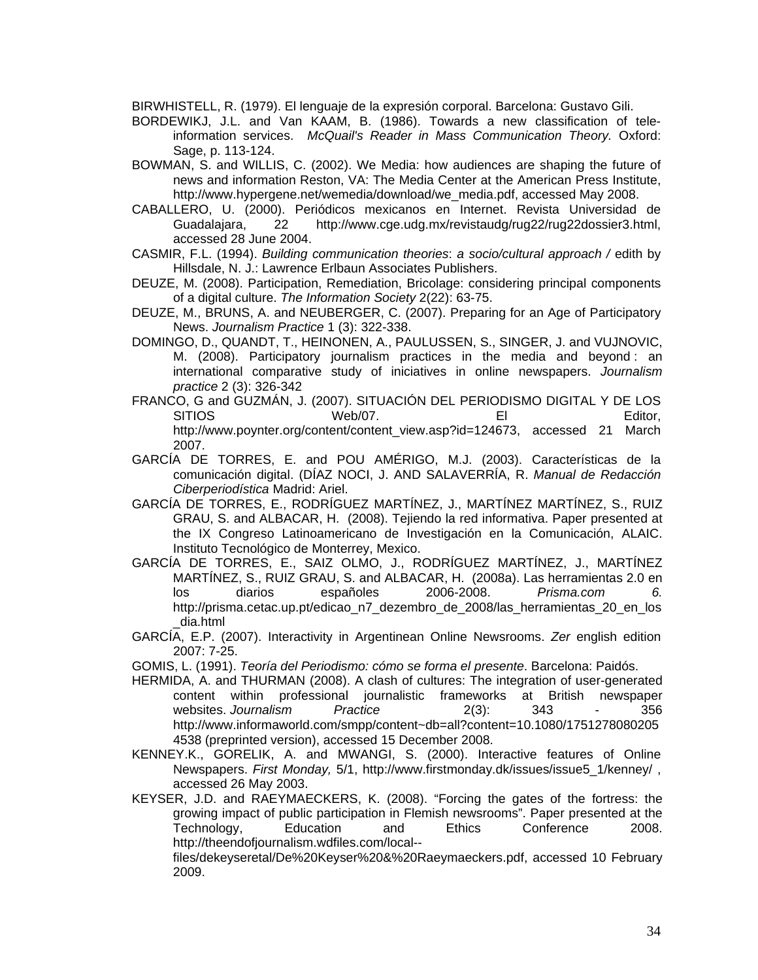BIRWHISTELL, R. (1979). El lenguaje de la expresión corporal. Barcelona: Gustavo Gili.

- BORDEWIKJ, J.L. and Van KAAM, B. (1986). Towards a new classification of teleinformation services. *McQuail's Reader in Mass Communication Theory.* Oxford: Sage, p. 113-124.
- BOWMAN, S. and WILLIS, C. (2002). We Media: how audiences are shaping the future of news and information Reston, VA: The Media Center at the American Press Institute, http://www.hypergene.net/wemedia/download/we\_media.pdf, accessed May 2008.
- CABALLERO, U. (2000). Periódicos mexicanos en Internet. Revista Universidad de Guadalajara, 22 http://www.cge.udg.mx/revistaudg/rug22/rug22dossier3.html, accessed 28 June 2004.
- CASMIR, F.L. (1994). *Building communication theories*: *a socio/cultural approach /* edith by Hillsdale, N. J.: Lawrence Erlbaun Associates Publishers.
- DEUZE, M. (2008). Participation, Remediation, Bricolage: considering principal components of a digital culture. *The Information Society* 2(22): 63-75.
- DEUZE, M., BRUNS, A. and NEUBERGER, C. (2007). Preparing for an Age of Participatory News. *Journalism Practice* 1 (3): 322-338.
- DOMINGO, D., QUANDT, T., HEINONEN, A., PAULUSSEN, S., SINGER, J. and VUJNOVIC, M. (2008). Participatory journalism practices in the media and beyond: an international comparative study of iniciatives in online newspapers. *Journalism practice* 2 (3): 326-342
- FRANCO, G and GUZMÁN, J. (2007). SITUACIÓN DEL PERIODISMO DIGITAL Y DE LOS SITIOS Web/07. El Editor, http://www.poynter.org/content/content\_view.asp?id=124673, accessed 21 March 2007.
- GARCÍA DE TORRES, E. and POU AMÉRIGO, M.J. (2003). Características de la comunicación digital. (DÍAZ NOCI, J. AND SALAVERRÍA, R. *Manual de Redacción Ciberperiodística* Madrid: Ariel.
- GARCÍA DE TORRES, E., RODRÍGUEZ MARTÍNEZ, J., MARTÍNEZ MARTÍNEZ, S., RUIZ GRAU, S. and ALBACAR, H. (2008). Tejiendo la red informativa. Paper presented at the IX Congreso Latinoamericano de Investigación en la Comunicación, ALAIC. Instituto Tecnológico de Monterrey, Mexico.
- GARCÍA DE TORRES, E., SAIZ OLMO, J., RODRÍGUEZ MARTÍNEZ, J., MARTÍNEZ MARTÍNEZ, S., RUIZ GRAU, S. and ALBACAR, H. (2008a). Las herramientas 2.0 en los diarios españoles 2006-2008. *Prisma.com 6.*  http://prisma.cetac.up.pt/edicao\_n7\_dezembro\_de\_2008/las\_herramientas\_20\_en\_los \_dia.html
- GARCÍA, E.P. (2007). Interactivity in Argentinean Online Newsrooms. *Zer* english edition 2007: 7-25.
- GOMIS, L. (1991). *Teoría del Periodismo: cómo se forma el presente*. Barcelona: Paidós.
- HERMIDA, A. and THURMAN (2008). A clash of cultures: The integration of user-generated content within professional journalistic frameworks at British newspaper websites. *Journalism Practice* 2(3): 343 - 356 http://www.informaworld.com/smpp/content~db=all?content=10.1080/1751278080205 4538 (preprinted version), accessed 15 December 2008.
- KENNEY.K., GORELIK, A. and MWANGI, S. (2000). Interactive features of Online Newspapers. *First Monday,* 5/1, http://www.firstmonday.dk/issues/issue5\_1/kenney/ , accessed 26 May 2003.
- KEYSER, J.D. and RAEYMAECKERS, K. (2008). "Forcing the gates of the fortress: the growing impact of public participation in Flemish newsrooms". Paper presented at the Technology, Education and Ethics Conference 2008. http://theendofjournalism.wdfiles.com/local--

files/dekeyseretal/De%20Keyser%20&%20Raeymaeckers.pdf, accessed 10 February 2009.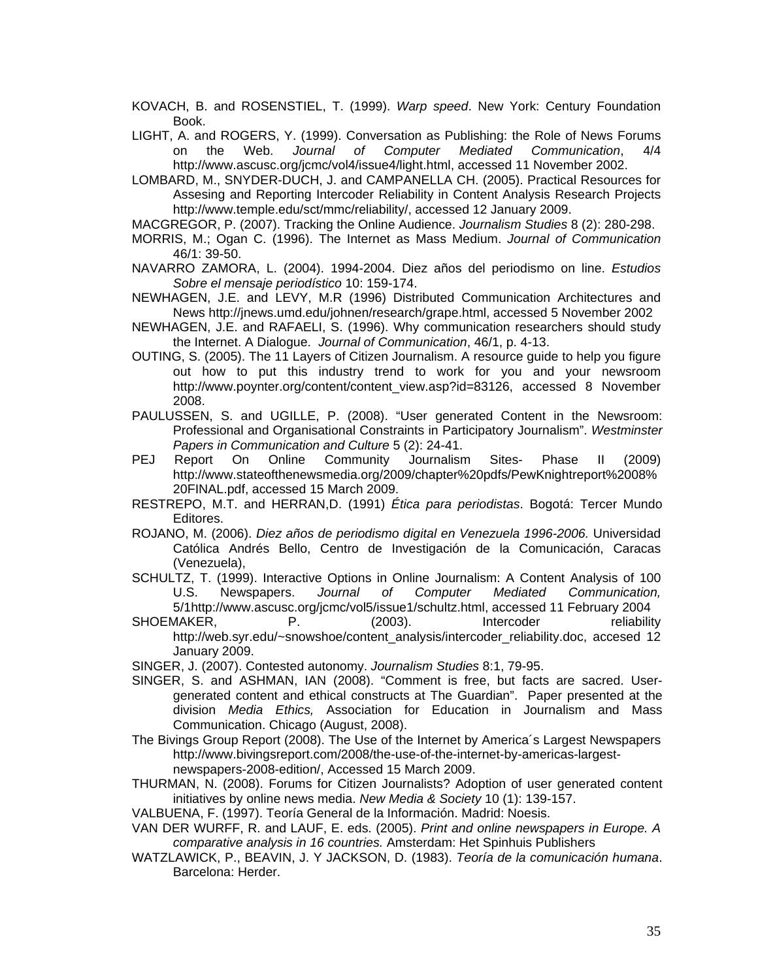KOVACH, B. and ROSENSTIEL, T. (1999). *Warp speed*. New York: Century Foundation Book.

- LIGHT, A. and ROGERS, Y. (1999). Conversation as Publishing: the Role of News Forums on the Web. *Journal of Computer Mediated Communication*, 4/4 http://www.ascusc.org/jcmc/vol4/issue4/light.html, accessed 11 November 2002.
- LOMBARD, M., SNYDER-DUCH, J. and CAMPANELLA CH. (2005). Practical Resources for Assesing and Reporting Intercoder Reliability in Content Analysis Research Projects http://www.temple.edu/sct/mmc/reliability/, accessed 12 January 2009.
- MACGREGOR, P. (2007). Tracking the Online Audience. *Journalism Studies* 8 (2): 280-298.
- MORRIS, M.; Ogan C. (1996). The Internet as Mass Medium. *Journal of Communication* 46/1: 39-50.
- NAVARRO ZAMORA, L. (2004). 1994-2004. Diez años del periodismo on line. *Estudios Sobre el mensaje periodístico* 10: 159-174.
- NEWHAGEN, J.E. and LEVY, M.R (1996) Distributed Communication Architectures and News http://jnews.umd.edu/johnen/research/grape.html, accessed 5 November 2002
- NEWHAGEN, J.E. and RAFAELI, S. (1996). Why communication researchers should study the Internet. A Dialogue. *Journal of Communication*, 46/1, p. 4-13.
- OUTING, S. (2005). The 11 Layers of Citizen Journalism. A resource guide to help you figure out how to put this industry trend to work for you and your newsroom http://www.poynter.org/content/content\_view.asp?id=83126, accessed 8 November 2008.
- PAULUSSEN, S. and UGILLE, P. (2008). "User generated Content in the Newsroom: Professional and Organisational Constraints in Participatory Journalism". *Westminster Papers in Communication and Culture* 5 (2): 24-41.
- PEJ Report On Online Community Journalism Sites- Phase II (2009) http://www.stateofthenewsmedia.org/2009/chapter%20pdfs/PewKnightreport%2008% 20FINAL.pdf, accessed 15 March 2009.
- RESTREPO, M.T. and HERRAN,D. (1991) *Ética para periodistas*. Bogotá: Tercer Mundo Editores.
- ROJANO, M. (2006). *Diez años de periodismo digital en Venezuela 1996-2006.* Universidad Católica Andrés Bello, Centro de Investigación de la Comunicación, Caracas (Venezuela),
- SCHULTZ, T. (1999). Interactive Options in Online Journalism: A Content Analysis of 100 U.S. Newspapers. *Journal of Computer Mediated Communication,* 5/1http://www.ascusc.org/jcmc/vol5/issue1/schultz.html, accessed 11 February 2004
- SHOEMAKER, P. (2003). Intercoder reliability http://web.syr.edu/~snowshoe/content\_analysis/intercoder\_reliability.doc, accesed 12 January 2009.

SINGER, J. (2007). Contested autonomy. *Journalism Studies* 8:1, 79-95.

- SINGER, S. and ASHMAN, IAN (2008). "Comment is free, but facts are sacred. Usergenerated content and ethical constructs at The Guardian". Paper presented at the division *Media Ethics,* Association for Education in Journalism and Mass Communication. Chicago (August, 2008).
- The Bivings Group Report (2008). The Use of the Internet by America´s Largest Newspapers http://www.bivingsreport.com/2008/the-use-of-the-internet-by-americas-largestnewspapers-2008-edition/, Accessed 15 March 2009.
- THURMAN, N. (2008). Forums for Citizen Journalists? Adoption of user generated content initiatives by online news media. *New Media & Society* 10 (1): 139-157.
- VALBUENA, F. (1997). Teoría General de la Información. Madrid: Noesis.
- VAN DER WURFF, R. and LAUF, E. eds. (2005). *Print and online newspapers in Europe. A comparative analysis in 16 countries.* Amsterdam: Het Spinhuis Publishers
- WATZLAWICK, P., BEAVIN, J. Y JACKSON, D. (1983). *Teoría de la comunicación humana*. Barcelona: Herder.